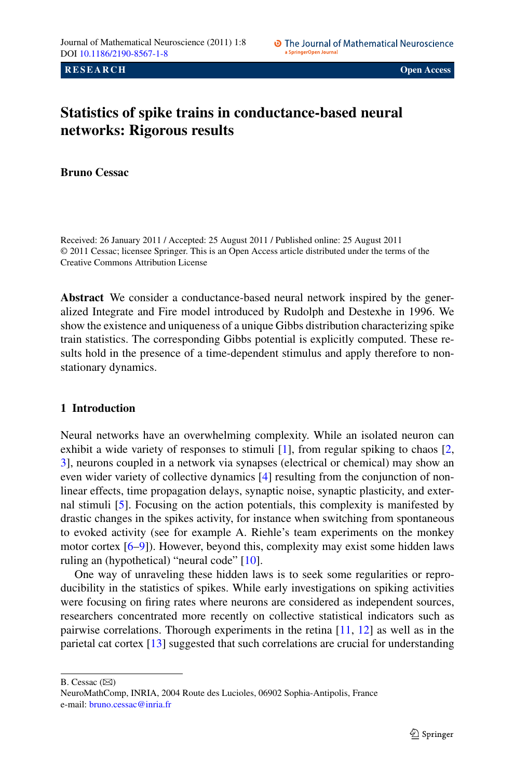# **Statistics of spike trains in conductance-based neural networks: Rigorous results**

**Bruno Cessac**

Received: 26 January 2011 / Accepted: 25 August 2011 / Published online: 25 August 2011 © 2011 Cessac; licensee Springer. This is an Open Access article distributed under the terms of the Creative Commons Attribution License

**Abstract** We consider a conductance-based neural network inspired by the generalized Integrate and Fire model introduced by Rudolph and Destexhe in 1996. We show the existence and uniqueness of a unique Gibbs distribution characterizing spike train statistics. The corresponding Gibbs potential is explicitly computed. These results hold in the presence of a time-dependent stimulus and apply therefore to nonstationary dynamics.

## **1 Introduction**

Neural networks have an overwhelming complexity. While an isolated neuron can exhibit a wide variety of responses to stimuli [\[1](#page-38-0)], from regular spiking to chaos [\[2](#page-38-1), [3\]](#page-38-2), neurons coupled in a network via synapses (electrical or chemical) may show an even wider variety of collective dynamics [\[4](#page-38-3)] resulting from the conjunction of nonlinear effects, time propagation delays, synaptic noise, synaptic plasticity, and external stimuli [[5\]](#page-38-4). Focusing on the action potentials, this complexity is manifested by drastic changes in the spikes activity, for instance when switching from spontaneous to evoked activity (see for example A. Riehle's team experiments on the monkey motor cortex [\[6](#page-38-5)[–9](#page-39-0)]). However, beyond this, complexity may exist some hidden laws ruling an (hypothetical) "neural code" [\[10](#page-39-1)].

One way of unraveling these hidden laws is to seek some regularities or reproducibility in the statistics of spikes. While early investigations on spiking activities were focusing on firing rates where neurons are considered as independent sources, researchers concentrated more recently on collective statistical indicators such as pairwise correlations. Thorough experiments in the retina [[11,](#page-39-2) [12](#page-39-3)] as well as in the parietal cat cortex [[13\]](#page-39-4) suggested that such correlations are crucial for understanding

 $B. Cessac (\boxtimes)$ 

NeuroMathComp, INRIA, 2004 Route des Lucioles, 06902 Sophia-Antipolis, France e-mail: [bruno.cessac@inria.fr](mailto:bruno.cessac@inria.fr)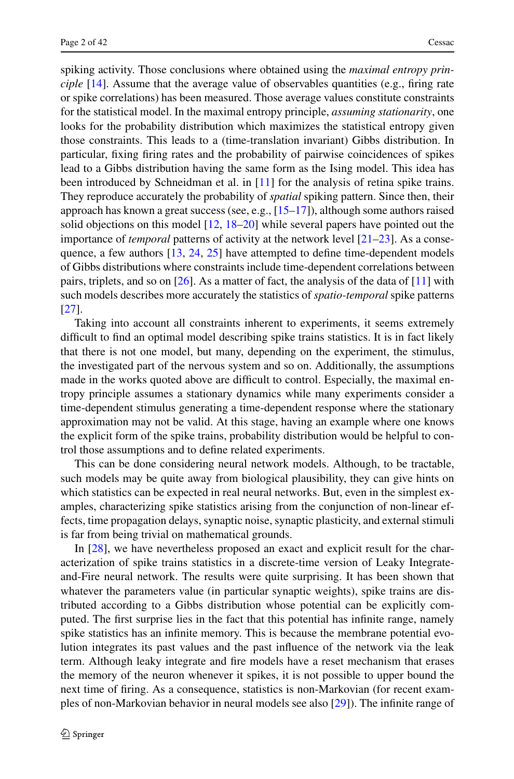spiking activity. Those conclusions where obtained using the *maximal entropy principle* [[14](#page-39-5)]. Assume that the average value of observables quantities (e.g., firing rate or spike correlations) has been measured. Those average values constitute constraints for the statistical model. In the maximal entropy principle, *assuming stationarity*, one looks for the probability distribution which maximizes the statistical entropy given those constraints. This leads to a (time-translation invariant) Gibbs distribution. In particular, fixing firing rates and the probability of pairwise coincidences of spikes lead to a Gibbs distribution having the same form as the Ising model. This idea has been introduced by Schneidman et al. in [[11\]](#page-39-2) for the analysis of retina spike trains. They reproduce accurately the probability of *spatial* spiking pattern. Since then, their approach has known a great success (see, e.g., [\[15](#page-39-6)[–17](#page-39-7)]), although some authors raised solid objections on this model [[12,](#page-39-3) [18–](#page-39-8)[20\]](#page-39-9) while several papers have pointed out the importance of *temporal* patterns of activity at the network level [[21–](#page-39-10)[23\]](#page-39-11). As a consequence, a few authors [\[13](#page-39-4), [24](#page-39-12), [25\]](#page-39-13) have attempted to define time-dependent models of Gibbs distributions where constraints include time-dependent correlations between pairs, triplets, and so on  $[26]$  $[26]$ . As a matter of fact, the analysis of the data of  $[11]$  $[11]$  with such models describes more accurately the statistics of *spatio-temporal* spike patterns [\[27](#page-39-15)].

Taking into account all constraints inherent to experiments, it seems extremely difficult to find an optimal model describing spike trains statistics. It is in fact likely that there is not one model, but many, depending on the experiment, the stimulus, the investigated part of the nervous system and so on. Additionally, the assumptions made in the works quoted above are difficult to control. Especially, the maximal entropy principle assumes a stationary dynamics while many experiments consider a time-dependent stimulus generating a time-dependent response where the stationary approximation may not be valid. At this stage, having an example where one knows the explicit form of the spike trains, probability distribution would be helpful to control those assumptions and to define related experiments.

This can be done considering neural network models. Although, to be tractable, such models may be quite away from biological plausibility, they can give hints on which statistics can be expected in real neural networks. But, even in the simplest examples, characterizing spike statistics arising from the conjunction of non-linear effects, time propagation delays, synaptic noise, synaptic plasticity, and external stimuli is far from being trivial on mathematical grounds.

In [[28\]](#page-39-16), we have nevertheless proposed an exact and explicit result for the characterization of spike trains statistics in a discrete-time version of Leaky Integrateand-Fire neural network. The results were quite surprising. It has been shown that whatever the parameters value (in particular synaptic weights), spike trains are distributed according to a Gibbs distribution whose potential can be explicitly computed. The first surprise lies in the fact that this potential has infinite range, namely spike statistics has an infinite memory. This is because the membrane potential evolution integrates its past values and the past influence of the network via the leak term. Although leaky integrate and fire models have a reset mechanism that erases the memory of the neuron whenever it spikes, it is not possible to upper bound the next time of firing. As a consequence, statistics is non-Markovian (for recent examples of non-Markovian behavior in neural models see also [\[29](#page-39-17)]). The infinite range of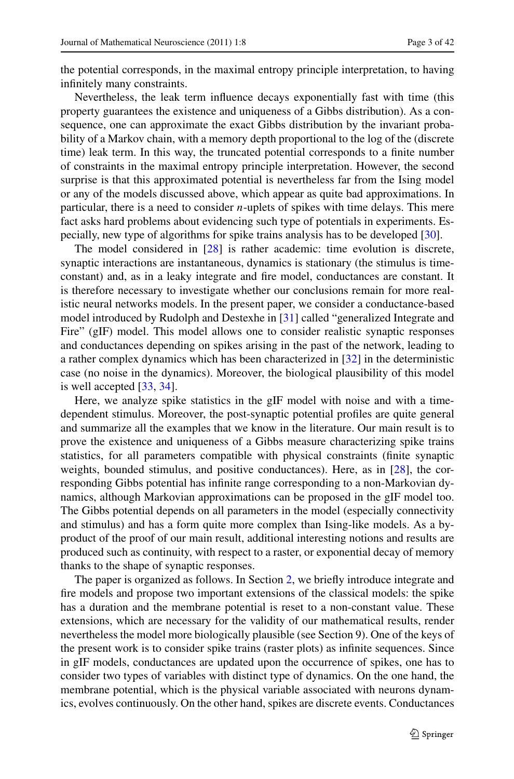the potential corresponds, in the maximal entropy principle interpretation, to having infinitely many constraints.

Nevertheless, the leak term influence decays exponentially fast with time (this property guarantees the existence and uniqueness of a Gibbs distribution). As a consequence, one can approximate the exact Gibbs distribution by the invariant probability of a Markov chain, with a memory depth proportional to the log of the (discrete time) leak term. In this way, the truncated potential corresponds to a finite number of constraints in the maximal entropy principle interpretation. However, the second surprise is that this approximated potential is nevertheless far from the Ising model or any of the models discussed above, which appear as quite bad approximations. In particular, there is a need to consider *n*-uplets of spikes with time delays. This mere fact asks hard problems about evidencing such type of potentials in experiments. Especially, new type of algorithms for spike trains analysis has to be developed [\[30](#page-39-18)].

The model considered in [\[28](#page-39-16)] is rather academic: time evolution is discrete, synaptic interactions are instantaneous, dynamics is stationary (the stimulus is timeconstant) and, as in a leaky integrate and fire model, conductances are constant. It is therefore necessary to investigate whether our conclusions remain for more realistic neural networks models. In the present paper, we consider a conductance-based model introduced by Rudolph and Destexhe in [\[31](#page-39-19)] called "generalized Integrate and Fire" (gIF) model. This model allows one to consider realistic synaptic responses and conductances depending on spikes arising in the past of the network, leading to a rather complex dynamics which has been characterized in [[32\]](#page-39-20) in the deterministic case (no noise in the dynamics). Moreover, the biological plausibility of this model is well accepted [\[33](#page-40-0), [34](#page-40-1)].

Here, we analyze spike statistics in the gIF model with noise and with a timedependent stimulus. Moreover, the post-synaptic potential profiles are quite general and summarize all the examples that we know in the literature. Our main result is to prove the existence and uniqueness of a Gibbs measure characterizing spike trains statistics, for all parameters compatible with physical constraints (finite synaptic weights, bounded stimulus, and positive conductances). Here, as in [\[28\]](#page-39-16), the corresponding Gibbs potential has infinite range corresponding to a non-Markovian dynamics, although Markovian approximations can be proposed in the gIF model too. The Gibbs potential depends on all parameters in the model (especially connectivity and stimulus) and has a form quite more complex than Ising-like models. As a byproduct of the proof of our main result, additional interesting notions and results are produced such as continuity, with respect to a raster, or exponential decay of memory thanks to the shape of synaptic responses.

The paper is organized as follows. In Section [2,](#page-3-0) we briefly introduce integrate and fire models and propose two important extensions of the classical models: the spike has a duration and the membrane potential is reset to a non-constant value. These extensions, which are necessary for the validity of our mathematical results, render nevertheless the model more biologically plausible (see Section 9). One of the keys of the present work is to consider spike trains (raster plots) as infinite sequences. Since in gIF models, conductances are updated upon the occurrence of spikes, one has to consider two types of variables with distinct type of dynamics. On the one hand, the membrane potential, which is the physical variable associated with neurons dynamics, evolves continuously. On the other hand, spikes are discrete events. Conductances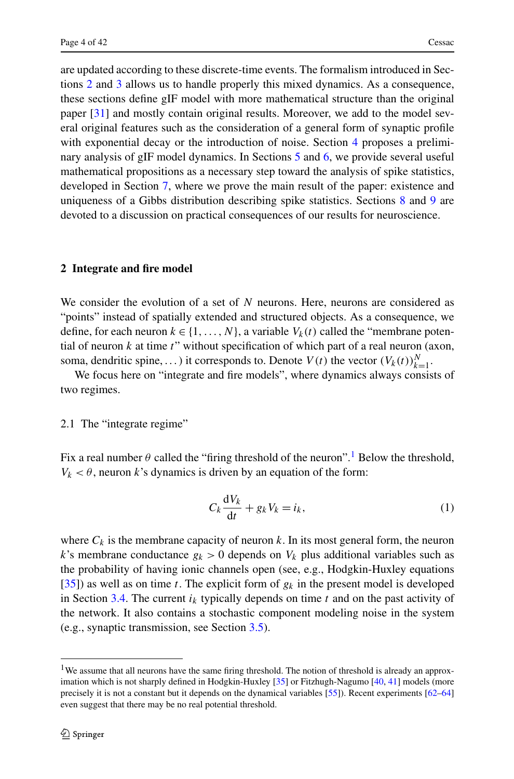are updated according to these discrete-time events. The formalism introduced in Sections [2](#page-3-0) and [3](#page-8-0) allows us to handle properly this mixed dynamics. As a consequence, these sections define gIF model with more mathematical structure than the original paper [\[31](#page-39-19)] and mostly contain original results. Moreover, we add to the model several original features such as the consideration of a general form of synaptic profile with exponential decay or the introduction of noise. Section [4](#page-13-0) proposes a preliminary analysis of gIF model dynamics. In Sections [5](#page-15-0) and [6,](#page-18-0) we provide several useful mathematical propositions as a necessary step toward the analysis of spike statistics, developed in Section [7,](#page-24-0) where we prove the main result of the paper: existence and uniqueness of a Gibbs distribution describing spike statistics. Sections [8](#page-29-0) and [9](#page-32-0) are devoted to a discussion on practical consequences of our results for neuroscience.

## <span id="page-3-0"></span>**2 Integrate and fire model**

We consider the evolution of a set of *N* neurons. Here, neurons are considered as "points" instead of spatially extended and structured objects. As a consequence, we define, for each neuron  $k \in \{1, ..., N\}$ , a variable  $V_k(t)$  called the "membrane potential of neuron *k* at time *t*" without specification of which part of a real neuron (axon, soma, dendritic spine, ...) it corresponds to. Denote  $V(t)$  the vector  $(V_k(t))_{k=1}^N$ .

We focus here on "integrate and fire models", where dynamics always consists of two regimes.

#### 2.1 The "integrate regime"

Fix a real number  $\theta$  called the "firing threshold of the neuron".<sup>[1](#page-3-1)</sup> Below the threshold,  $V_k < \theta$ , neuron *k*'s dynamics is driven by an equation of the form:

<span id="page-3-2"></span>
$$
C_k \frac{\mathrm{d}V_k}{\mathrm{d}t} + g_k V_k = i_k,\tag{1}
$$

<span id="page-3-1"></span>where  $C_k$  is the membrane capacity of neuron  $k$ . In its most general form, the neuron *k*'s membrane conductance  $g_k > 0$  depends on  $V_k$  plus additional variables such as the probability of having ionic channels open (see, e.g., Hodgkin-Huxley equations [\[35](#page-40-2)]) as well as on time *t*. The explicit form of  $g_k$  in the present model is developed in Section [3.4](#page-10-0). The current  $i_k$  typically depends on time  $t$  and on the past activity of the network. It also contains a stochastic component modeling noise in the system (e.g., synaptic transmission, see Section [3.5\)](#page-11-0).

<sup>&</sup>lt;sup>1</sup>We assume that all neurons have the same firing threshold. The notion of threshold is already an approximation which is not sharply defined in Hodgkin-Huxley [\[35](#page-40-2)] or Fitzhugh-Nagumo [\[40](#page-40-3), [41](#page-40-4)] models (more precisely it is not a constant but it depends on the dynamical variables [[55\]](#page-40-5)). Recent experiments [[62–](#page-40-6)[64\]](#page-41-0) even suggest that there may be no real potential threshold.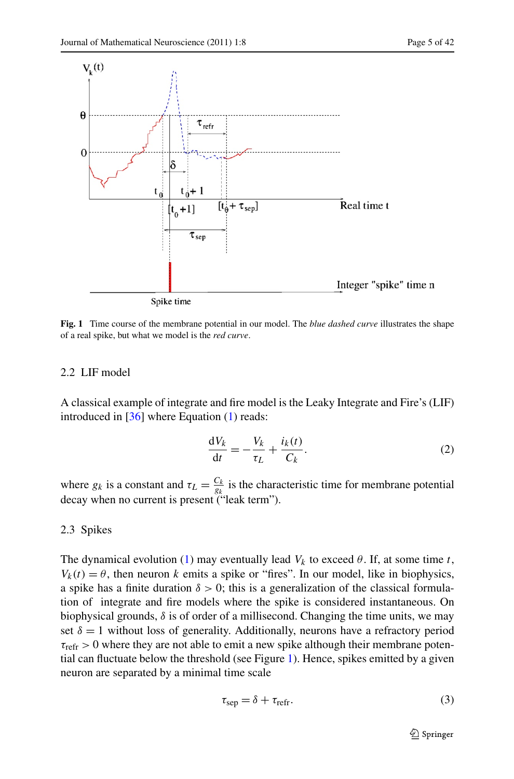

<span id="page-4-0"></span>**Fig. 1** Time course of the membrane potential in our model. The *blue dashed curve* illustrates the shape of a real spike, but what we model is the *red curve*.

## 2.2 LIF model

A classical example of integrate and fire model is the Leaky Integrate and Fire's (LIF) introduced in [\[36](#page-40-7)] where Equation ([1\)](#page-3-2) reads:

<span id="page-4-1"></span>
$$
\frac{\mathrm{d}V_k}{\mathrm{d}t} = -\frac{V_k}{\tau_L} + \frac{i_k(t)}{C_k}.\tag{2}
$$

where  $g_k$  is a constant and  $\tau_L = \frac{C_k}{g_k}$  is the characteristic time for membrane potential decay when no current is present ("leak term").

#### 2.3 Spikes

The dynamical evolution [\(1](#page-3-2)) may eventually lead  $V_k$  to exceed  $\theta$ . If, at some time *t*,  $V_k(t) = \theta$ , then neuron *k* emits a spike or "fires". In our model, like in biophysics, a spike has a finite duration  $\delta > 0$ ; this is a generalization of the classical formulation of integrate and fire models where the spike is considered instantaneous. On biophysical grounds, *δ* is of order of a millisecond. Changing the time units, we may set  $\delta = 1$  without loss of generality. Additionally, neurons have a refractory period  $\tau_{\text{refr}} > 0$  where they are not able to emit a new spike although their membrane potential can fluctuate below the threshold (see Figure [1\)](#page-4-0). Hence, spikes emitted by a given neuron are separated by a minimal time scale

$$
\tau_{\rm sep} = \delta + \tau_{\rm refr}.\tag{3}
$$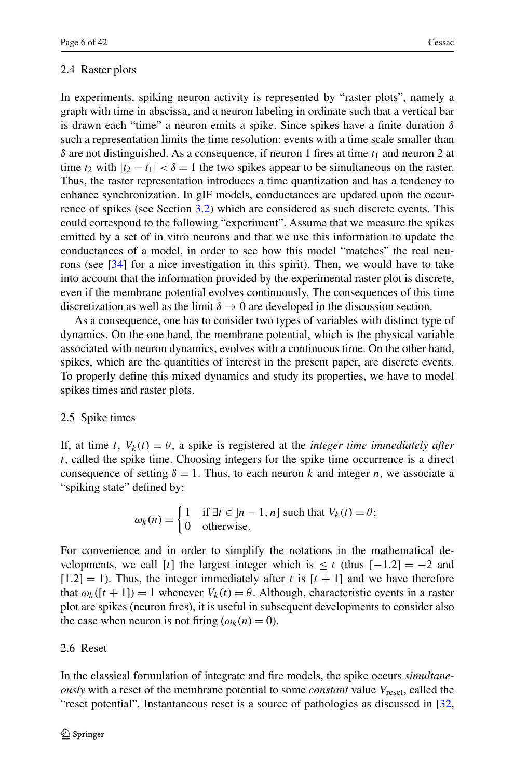## 2.4 Raster plots

In experiments, spiking neuron activity is represented by "raster plots", namely a graph with time in abscissa, and a neuron labeling in ordinate such that a vertical bar is drawn each "time" a neuron emits a spike. Since spikes have a finite duration *δ* such a representation limits the time resolution: events with a time scale smaller than  $δ$  are not distinguished. As a consequence, if neuron 1 fires at time  $t_1$  and neuron 2 at time  $t_2$  with  $|t_2 - t_1| < \delta = 1$  the two spikes appear to be simultaneous on the raster. Thus, the raster representation introduces a time quantization and has a tendency to enhance synchronization. In gIF models, conductances are updated upon the occurrence of spikes (see Section [3.2](#page-8-1)) which are considered as such discrete events. This could correspond to the following "experiment". Assume that we measure the spikes emitted by a set of in vitro neurons and that we use this information to update the conductances of a model, in order to see how this model "matches" the real neurons (see  $[34]$  $[34]$  for a nice investigation in this spirit). Then, we would have to take into account that the information provided by the experimental raster plot is discrete, even if the membrane potential evolves continuously. The consequences of this time discretization as well as the limit  $\delta \to 0$  are developed in the discussion section.

As a consequence, one has to consider two types of variables with distinct type of dynamics. On the one hand, the membrane potential, which is the physical variable associated with neuron dynamics, evolves with a continuous time. On the other hand, spikes, which are the quantities of interest in the present paper, are discrete events. To properly define this mixed dynamics and study its properties, we have to model spikes times and raster plots.

## 2.5 Spike times

If, at time *t*,  $V_k(t) = \theta$ , a spike is registered at the *integer time immediately after t*, called the spike time. Choosing integers for the spike time occurrence is a direct consequence of setting  $\delta = 1$ . Thus, to each neuron *k* and integer *n*, we associate a "spiking state" defined by:

$$
\omega_k(n) = \begin{cases} 1 & \text{if } \exists t \in [n-1, n] \text{ such that } V_k(t) = \theta; \\ 0 & \text{otherwise.} \end{cases}
$$

For convenience and in order to simplify the notations in the mathematical developments, we call [*t*] the largest integer which is  $\leq t$  (thus  $[-1.2] = -2$  and  $[1.2] = 1$ ). Thus, the integer immediately after *t* is  $[t + 1]$  and we have therefore that  $\omega_k([t+1]) = 1$  whenever  $V_k(t) = \theta$ . Although, characteristic events in a raster plot are spikes (neuron fires), it is useful in subsequent developments to consider also the case when neuron is not firing  $(\omega_k(n) = 0)$ .

## 2.6 Reset

In the classical formulation of integrate and fire models, the spike occurs *simultaneously* with a reset of the membrane potential to some *constant* value *V*reset, called the "reset potential". Instantaneous reset is a source of pathologies as discussed in [\[32](#page-39-20),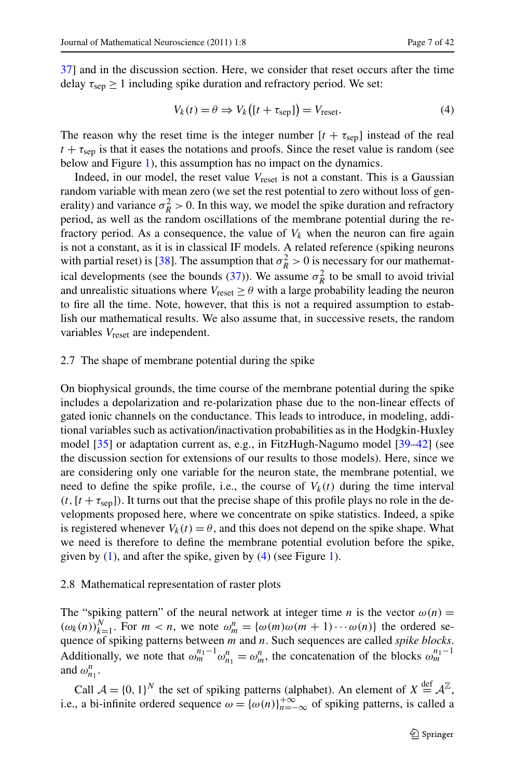[37\]](#page-40-8) and in the discussion section. Here, we consider that reset occurs after the time delay  $\tau_{\text{sep}} \geq 1$  including spike duration and refractory period. We set:

<span id="page-6-0"></span>
$$
V_k(t) = \theta \Rightarrow V_k([t + \tau_{\text{sep}}]) = V_{\text{reset}}.
$$
\n(4)

The reason why the reset time is the integer number  $[t + \tau_{\text{sep}}]$  instead of the real  $t + \tau_{\text{sep}}$  is that it eases the notations and proofs. Since the reset value is random (see below and Figure [1\)](#page-4-0), this assumption has no impact on the dynamics.

Indeed, in our model, the reset value *V*reset is not a constant. This is a Gaussian random variable with mean zero (we set the rest potential to zero without loss of generality) and variance  $\sigma_R^2 > 0$ . In this way, we model the spike duration and refractory period, as well as the random oscillations of the membrane potential during the refractory period. As a consequence, the value of  $V_k$  when the neuron can fire again is not a constant, as it is in classical IF models. A related reference (spiking neurons with partial reset) is [[38\]](#page-40-9). The assumption that  $\sigma_R^2 > 0$  is necessary for our mathemat-ical developments (see the bounds ([37](#page-17-0))). We assume  $\sigma_R^2$  to be small to avoid trivial and unrealistic situations where  $V_{\text{reset}} \geq \theta$  with a large probability leading the neuron to fire all the time. Note, however, that this is not a required assumption to establish our mathematical results. We also assume that, in successive resets, the random variables  $V_{\text{reset}}$  are independent.

#### 2.7 The shape of membrane potential during the spike

On biophysical grounds, the time course of the membrane potential during the spike includes a depolarization and re-polarization phase due to the non-linear effects of gated ionic channels on the conductance. This leads to introduce, in modeling, additional variables such as activation/inactivation probabilities as in the Hodgkin-Huxley model [\[35](#page-40-2)] or adaptation current as, e.g., in FitzHugh-Nagumo model [\[39](#page-40-10)[–42](#page-40-11)] (see the discussion section for extensions of our results to those models). Here, since we are considering only one variable for the neuron state, the membrane potential, we need to define the spike profile, i.e., the course of  $V_k(t)$  during the time interval  $(t, [t + \tau_{\text{sen}}])$ . It turns out that the precise shape of this profile plays no role in the developments proposed here, where we concentrate on spike statistics. Indeed, a spike is registered whenever  $V_k(t) = \theta$ , and this does not depend on the spike shape. What we need is therefore to define the membrane potential evolution before the spike, given by ([1\)](#page-3-2), and after the spike, given by [\(4](#page-6-0)) (see Figure [1](#page-4-0)).

#### 2.8 Mathematical representation of raster plots

The "spiking pattern" of the neural network at integer time *n* is the vector  $\omega(n)$  =  $(\omega_k(n))_{k=1}^N$ . For  $m < n$ , we note  $\omega_m^n = {\omega(m)\omega(m+1)\cdots\omega(n)}$  the ordered sequence of spiking patterns between *m* and *n*. Such sequences are called *spike blocks*. Additionally, we note that  $\omega_m^{n_1-1} \omega_{n_1}^n = \omega_m^n$ , the concatenation of the blocks  $\omega_m^{n_1-1}$ and  $\omega_{n_1}^n$ .

Call  $\mathcal{A} = \{0, 1\}^N$  the set of spiking patterns (alphabet). An element of  $X \stackrel{\text{def}}{=} \mathcal{A}^{\mathbb{Z}}$ , i.e., a bi-infinite ordered sequence  $\omega = {\{\omega(n)\}}_{n=-\infty}^{+\infty}$  of spiking patterns, is called a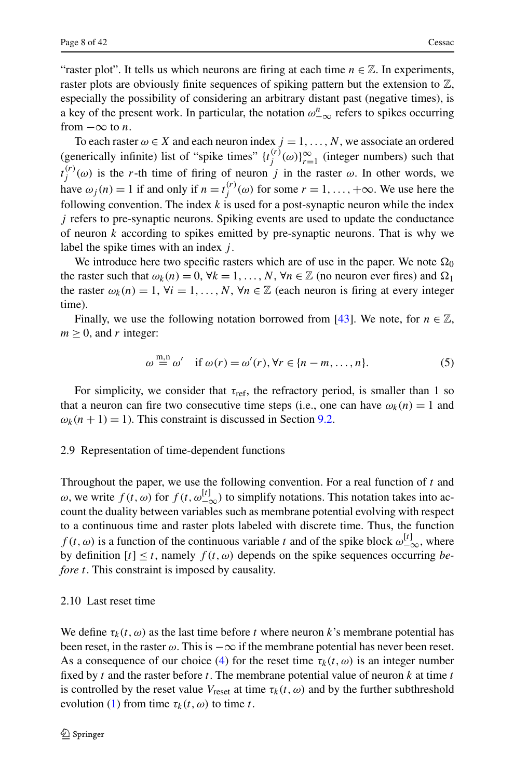"raster plot". It tells us which neurons are firing at each time  $n \in \mathbb{Z}$ . In experiments, raster plots are obviously finite sequences of spiking pattern but the extension to  $\mathbb{Z}$ , especially the possibility of considering an arbitrary distant past (negative times), is a key of the present work. In particular, the notation  $\omega_{-\infty}^n$  refers to spikes occurring from  $-\infty$  to *n*.

To each raster  $\omega \in X$  and each neuron index  $j = 1, \ldots, N$ , we associate an ordered (generically infinite) list of "spike times"  $\{t_j^{(r)}(\omega)\}_{r=1}^{\infty}$  (integer numbers) such that  $t_j^{(r)}(\omega)$  is the *r*-th time of firing of neuron *j* in the raster  $\omega$ . In other words, we have  $\omega_j(n) = 1$  if and only if  $n = t_j^{(r)}(\omega)$  for some  $r = 1, \ldots, +\infty$ . We use here the following convention. The index  $k$  is used for a post-synaptic neuron while the index *j* refers to pre-synaptic neurons. Spiking events are used to update the conductance of neuron *k* according to spikes emitted by pre-synaptic neurons. That is why we label the spike times with an index *j* .

We introduce here two specific rasters which are of use in the paper. We note  $\Omega_0$ the raster such that  $\omega_k(n) = 0$ ,  $\forall k = 1, ..., N$ ,  $\forall n \in \mathbb{Z}$  (no neuron ever fires) and  $\Omega_1$ the raster  $\omega_k(n) = 1, \forall i = 1, ..., N, \forall n \in \mathbb{Z}$  (each neuron is firing at every integer time).

Finally, we use the following notation borrowed from [\[43](#page-40-12)]. We note, for  $n \in \mathbb{Z}$ ,  $m \geq 0$ , and *r* integer:

<span id="page-7-1"></span>
$$
\omega \stackrel{\mathbf{m},\mathbf{n}}{=} \omega' \quad \text{if } \omega(r) = \omega'(r), \forall r \in \{n-m,\dots,n\}.
$$

For simplicity, we consider that *τ*ref, the refractory period, is smaller than 1 so that a neuron can fire two consecutive time steps (i.e., one can have  $\omega_k(n) = 1$  and  $\omega_k(n+1) = 1$ . This constraint is discussed in Section [9.2](#page-33-0).

#### 2.9 Representation of time-dependent functions

<span id="page-7-0"></span>Throughout the paper, we use the following convention. For a real function of *t* and *ω*, we write *f* (*t*, *ω*) for *f* (*t*,  $ω_{-\infty}^{[t]}$ ) to simplify notations. This notation takes into account the duality between variables such as membrane potential evolving with respect to a continuous time and raster plots labeled with discrete time. Thus, the function  $f(t, \omega)$  is a function of the continuous variable *t* and of the spike block  $\omega_{-\infty}^{[t]}$ , where by definition  $[t] \leq t$ , namely  $f(t, \omega)$  depends on the spike sequences occurring *before t*. This constraint is imposed by causality.

#### 2.10 Last reset time

We define  $\tau_k(t, \omega)$  as the last time before *t* where neuron *k*'s membrane potential has been reset, in the raster  $\omega$ . This is  $-\infty$  if the membrane potential has never been reset. As a consequence of our choice [\(4](#page-6-0)) for the reset time  $\tau_k(t, \omega)$  is an integer number fixed by *t* and the raster before *t*. The membrane potential value of neuron *k* at time *t* is controlled by the reset value  $V_{\text{reset}}$  at time  $\tau_k(t, \omega)$  and by the further subthreshold evolution ([1\)](#page-3-2) from time  $\tau_k(t, \omega)$  to time *t*.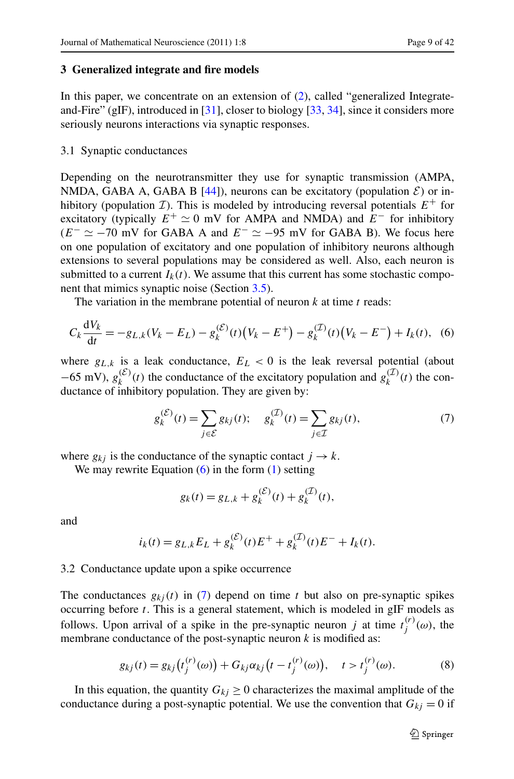#### <span id="page-8-0"></span>**3 Generalized integrate and fire models**

In this paper, we concentrate on an extension of [\(2](#page-4-1)), called "generalized Integrate-and-Fire" (gIF), introduced in [\[31](#page-39-19)], closer to biology [\[33](#page-40-0), [34\]](#page-40-1), since it considers more seriously neurons interactions via synaptic responses.

#### 3.1 Synaptic conductances

Depending on the neurotransmitter they use for synaptic transmission (AMPA, NMDA, GABA A, GABA B [\[44](#page-40-13)]), neurons can be excitatory (population  $\mathcal{E}$ ) or inhibitory (population  $\mathcal{I}$ ). This is modeled by introducing reversal potentials  $E^+$  for excitatory (typically  $E^+ \simeq 0$  mV for AMPA and NMDA) and  $E^-$  for inhibitory  $(E<sup>−</sup> \simeq -70$  mV for GABA A and  $E<sup>−</sup> \simeq -95$  mV for GABA B). We focus here on one population of excitatory and one population of inhibitory neurons although extensions to several populations may be considered as well. Also, each neuron is submitted to a current  $I_k(t)$ . We assume that this current has some stochastic component that mimics synaptic noise (Section [3.5](#page-11-0)).

The variation in the membrane potential of neuron *k* at time *t* reads:

$$
C_k \frac{dV_k}{dt} = -g_{L,k}(V_k - E_L) - g_k^{(\mathcal{E})}(t)(V_k - E^+) - g_k^{(\mathcal{I})}(t)(V_k - E^-) + I_k(t), \tag{6}
$$

where  $g_{L,k}$  is a leak conductance,  $E_L < 0$  is the leak reversal potential (about −65 mV),  $g_k^{(\mathcal{E})}(t)$  the conductance of the excitatory population and  $g_k^{(\mathcal{I})}(t)$  the conductance of inhibitory population. They are given by:

<span id="page-8-3"></span><span id="page-8-2"></span>
$$
g_k^{(\mathcal{E})}(t) = \sum_{j \in \mathcal{E}} g_{kj}(t); \quad g_k^{(\mathcal{I})}(t) = \sum_{j \in \mathcal{I}} g_{kj}(t), \tag{7}
$$

<span id="page-8-1"></span>where  $g_{kj}$  is the conductance of the synaptic contact  $j \rightarrow k$ .

We may rewrite Equation  $(6)$  $(6)$  in the form  $(1)$  $(1)$  setting

<span id="page-8-4"></span>
$$
g_k(t) = g_{L,k} + g_k^{(\mathcal{E})}(t) + g_k^{(\mathcal{I})}(t),
$$

and

$$
i_k(t) = g_{L,k} E_L + g_k^{(\mathcal{E})}(t) E^+ + g_k^{(\mathcal{I})}(t) E^- + I_k(t).
$$

#### 3.2 Conductance update upon a spike occurrence

The conductances  $g_{ki}(t)$  in ([7\)](#page-8-3) depend on time *t* but also on pre-synaptic spikes occurring before *t*. This is a general statement, which is modeled in gIF models as follows. Upon arrival of a spike in the pre-synaptic neuron *j* at time  $t_j^{(r)}(\omega)$ , the membrane conductance of the post-synaptic neuron  $k$  is modified as:

$$
g_{kj}(t) = g_{kj}(t_j^{(r)}(\omega)) + G_{kj}\alpha_{kj}(t - t_j^{(r)}(\omega)), \quad t > t_j^{(r)}(\omega).
$$
 (8)

In this equation, the quantity  $G_{ki} \geq 0$  characterizes the maximal amplitude of the conductance during a post-synaptic potential. We use the convention that  $G_{ki} = 0$  if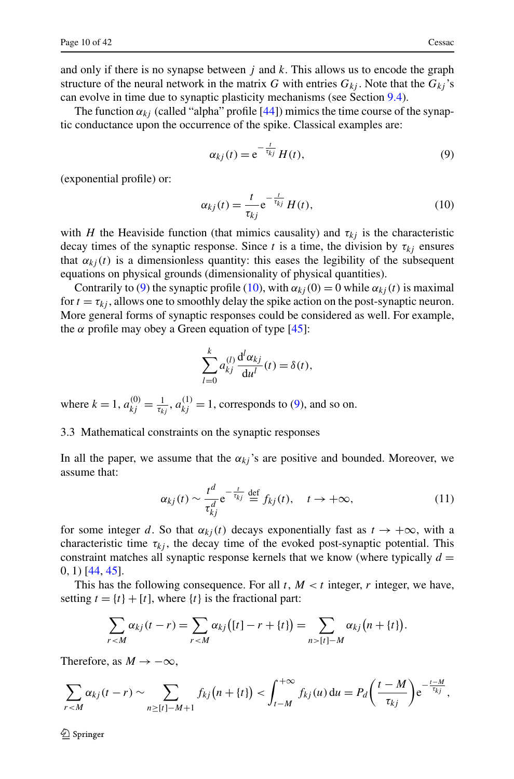and only if there is no synapse between *j* and *k*. This allows us to encode the graph structure of the neural network in the matrix *G* with entries  $G_{ki}$ . Note that the  $G_{ki}$ 's can evolve in time due to synaptic plasticity mechanisms (see Section [9.4\)](#page-35-0).

The function  $\alpha_{ki}$  (called "alpha" profile [\[44](#page-40-13)]) mimics the time course of the synaptic conductance upon the occurrence of the spike. Classical examples are:

<span id="page-9-1"></span><span id="page-9-0"></span>
$$
\alpha_{kj}(t) = e^{-\frac{t}{\tau_{kj}}} H(t), \qquad (9)
$$

(exponential profile) or:

$$
\alpha_{kj}(t) = \frac{t}{\tau_{kj}} e^{-\frac{t}{\tau_{kj}}} H(t),\tag{10}
$$

with *H* the Heaviside function (that mimics causality) and  $\tau_{kj}$  is the characteristic decay times of the synaptic response. Since *t* is a time, the division by  $\tau_{ki}$  ensures that  $\alpha_{ki}(t)$  is a dimensionless quantity: this eases the legibility of the subsequent equations on physical grounds (dimensionality of physical quantities).

Contrarily to ([9\)](#page-9-0) the synaptic profile [\(10](#page-9-1)), with  $\alpha_{ki}(0) = 0$  while  $\alpha_{ki}(t)$  is maximal for  $t = \tau_{ki}$ , allows one to smoothly delay the spike action on the post-synaptic neuron. More general forms of synaptic responses could be considered as well. For example, the  $\alpha$  profile may obey a Green equation of type [\[45](#page-40-14)]:

<span id="page-9-2"></span>
$$
\sum_{l=0}^k a_{kj}^{(l)} \frac{\mathrm{d}^l \alpha_{kj}}{\mathrm{d}u^l}(t) = \delta(t),
$$

where  $k = 1$ ,  $a_{kj}^{(0)} = \frac{1}{\tau_{kj}}$ ,  $a_{kj}^{(1)} = 1$ , corresponds to ([9\)](#page-9-0), and so on.

#### 3.3 Mathematical constraints on the synaptic responses

In all the paper, we assume that the  $\alpha_{ki}$ 's are positive and bounded. Moreover, we assume that:

$$
\alpha_{kj}(t) \sim \frac{t^d}{\tau_{kj}^d} e^{-\frac{t}{\tau_{kj}}} \stackrel{\text{def}}{=} f_{kj}(t), \quad t \to +\infty,
$$
 (11)

for some integer *d*. So that  $\alpha_{ki}(t)$  decays exponentially fast as  $t \to +\infty$ , with a characteristic time  $\tau_{ki}$ , the decay time of the evoked post-synaptic potential. This constraint matches all synaptic response kernels that we know (where typically  $d =$ 0*,* 1) [[44,](#page-40-13) [45\]](#page-40-14).

This has the following consequence. For all  $t$ ,  $M < t$  integer,  $r$  integer, we have, setting  $t = \{t\} + [t]$ , where  $\{t\}$  is the fractional part:

$$
\sum_{r < M} \alpha_{kj}(t - r) = \sum_{r < M} \alpha_{kj} ([t] - r + \{t\}) = \sum_{n > [t] - M} \alpha_{kj} (n + \{t\}).
$$

Therefore, as  $M \to -\infty$ ,

$$
\sum_{r
$$

Springer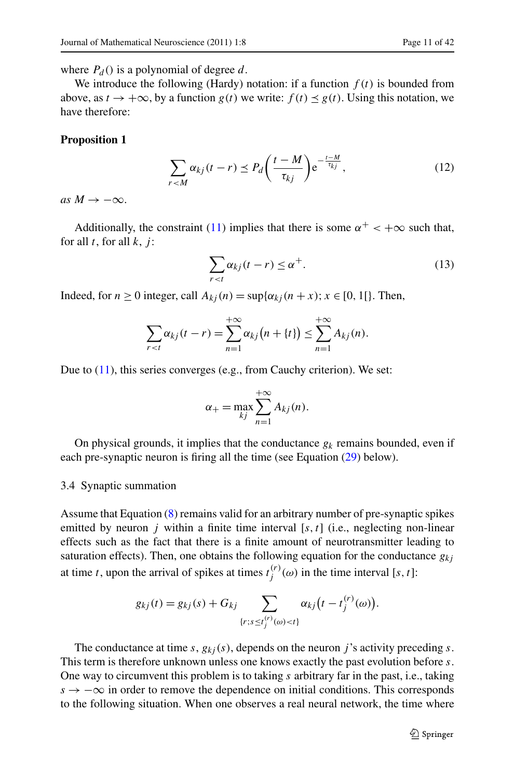where  $P_d()$  is a polynomial of degree d.

We introduce the following (Hardy) notation: if a function  $f(t)$  is bounded from above, as  $t \to +\infty$ , by a function  $g(t)$  we write:  $f(t) \leq g(t)$ . Using this notation, we have therefore:

#### **Proposition 1**

<span id="page-10-2"></span>
$$
\sum_{r
$$

 $as M \rightarrow -\infty$ .

Additionally, the constraint ([11\)](#page-9-2) implies that there is some  $\alpha^+ < +\infty$  such that, for all  $t$ , for all  $k$ ,  $j$ :

<span id="page-10-1"></span>
$$
\sum_{r < t} \alpha_{kj}(t - r) \le \alpha^+ \tag{13}
$$

Indeed, for  $n \ge 0$  integer, call  $A_{kj}(n) = \sup{\{\alpha_{kj}(n + x); x \in [0, 1]\}}$ . Then,

$$
\sum_{r
$$

<span id="page-10-0"></span>Due to [\(11](#page-9-2)), this series converges (e.g., from Cauchy criterion). We set:

$$
\alpha_{+} = \max_{kj} \sum_{n=1}^{+\infty} A_{kj}(n).
$$

On physical grounds, it implies that the conductance  $g_k$  remains bounded, even if each pre-synaptic neuron is firing all the time (see Equation [\(29](#page-15-1)) below).

#### 3.4 Synaptic summation

Assume that Equation ([8\)](#page-8-4) remains valid for an arbitrary number of pre-synaptic spikes emitted by neuron *j* within a finite time interval  $[s, t]$  (i.e., neglecting non-linear effects such as the fact that there is a finite amount of neurotransmitter leading to saturation effects). Then, one obtains the following equation for the conductance  $g_{ki}$ at time *t*, upon the arrival of spikes at times  $t_j^{(r)}(\omega)$  in the time interval [*s*, *t*]:

$$
g_{kj}(t) = g_{kj}(s) + G_{kj} \sum_{\{r:s\leq t_j^{(r)}(\omega)
$$

The conductance at time *s*, *gkj (s)*, depends on the neuron *j* 's activity preceding *s*. This term is therefore unknown unless one knows exactly the past evolution before *s*. One way to circumvent this problem is to taking *s* arbitrary far in the past, i.e., taking *s* → −∞ in order to remove the dependence on initial conditions. This corresponds to the following situation. When one observes a real neural network, the time where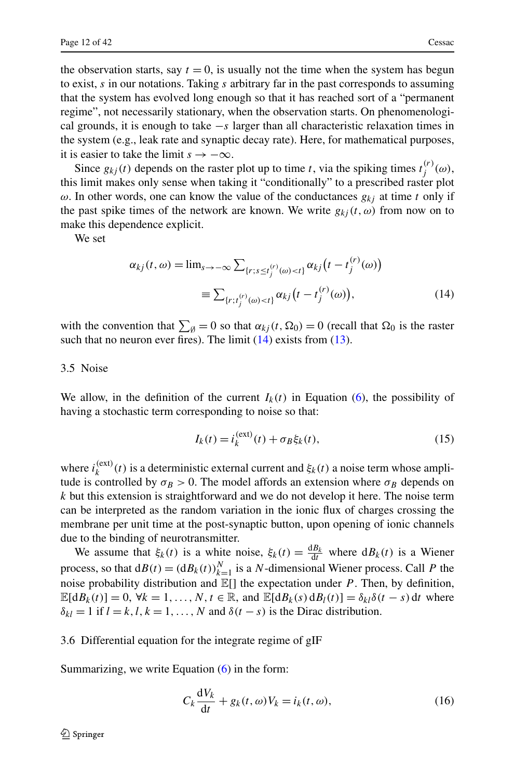the observation starts, say  $t = 0$ , is usually not the time when the system has begun to exist, *s* in our notations. Taking *s* arbitrary far in the past corresponds to assuming that the system has evolved long enough so that it has reached sort of a "permanent regime", not necessarily stationary, when the observation starts. On phenomenological grounds, it is enough to take −*s* larger than all characteristic relaxation times in the system (e.g., leak rate and synaptic decay rate). Here, for mathematical purposes, it is easier to take the limit  $s \to -\infty$ .

<span id="page-11-1"></span>Since  $g_{kj}(t)$  depends on the raster plot up to time *t*, via the spiking times  $t_j^{(r)}(\omega)$ , this limit makes only sense when taking it "conditionally" to a prescribed raster plot  $ω$ . In other words, one can know the value of the conductances  $g_{ki}$  at time *t* only if the past spike times of the network are known. We write  $g_{ki}(t, \omega)$  from now on to make this dependence explicit.

We set

$$
\alpha_{kj}(t,\omega) = \lim_{s \to -\infty} \sum_{\{r; s \le t_j^{(r)}(\omega) < t\}} \alpha_{kj}\left(t - t_j^{(r)}(\omega)\right)
$$
\n
$$
\equiv \sum_{\{r; t_j^{(r)}(\omega) < t\}} \alpha_{kj}\left(t - t_j^{(r)}(\omega)\right),\tag{14}
$$

<span id="page-11-0"></span>with the convention that  $\sum_{\emptyset} = 0$  so that  $\alpha_{kj}(t, \Omega_0) = 0$  (recall that  $\Omega_0$  is the raster such that no neuron ever fires). The limit  $(14)$  $(14)$  exists from  $(13)$  $(13)$ .

#### 3.5 Noise

We allow, in the definition of the current  $I_k(t)$  in Equation [\(6](#page-8-2)), the possibility of having a stochastic term corresponding to noise so that:

$$
I_k(t) = i_k^{(\text{ext})}(t) + \sigma_B \xi_k(t),\tag{15}
$$

where  $i_k^{(ext)}(t)$  is a deterministic external current and  $\xi_k(t)$  a noise term whose amplitude is controlled by  $\sigma_B > 0$ . The model affords an extension where  $\sigma_B$  depends on *k* but this extension is straightforward and we do not develop it here. The noise term can be interpreted as the random variation in the ionic flux of charges crossing the membrane per unit time at the post-synaptic button, upon opening of ionic channels due to the binding of neurotransmitter.

We assume that  $\xi_k(t)$  is a white noise,  $\xi_k(t) = \frac{dB_k}{dt}$  where  $dB_k(t)$  is a Wiener process, so that  $dB(t) = (dB_k(t))_{k=1}^N$  is a *N*-dimensional Wiener process. Call *P* the noise probability distribution and  $\mathbb{E}[\cdot]$  the expectation under *P*. Then, by definition,  $\mathbb{E}[dB_k(t)] = 0$ ,  $\forall k = 1, ..., N, t \in \mathbb{R}$ , and  $\mathbb{E}[dB_k(s) dB_l(t)] = \delta_{kl}\delta(t - s) dt$  where  $\delta_{kl} = 1$  if  $l = k, l, k = 1, ..., N$  and  $\delta(t - s)$  is the Dirac distribution.

## 3.6 Differential equation for the integrate regime of gIF

Summarizing, we write Equation [\(6](#page-8-2)) in the form:

<span id="page-11-2"></span>
$$
C_k \frac{\mathrm{d}V_k}{\mathrm{d}t} + g_k(t, \omega) V_k = i_k(t, \omega), \tag{16}
$$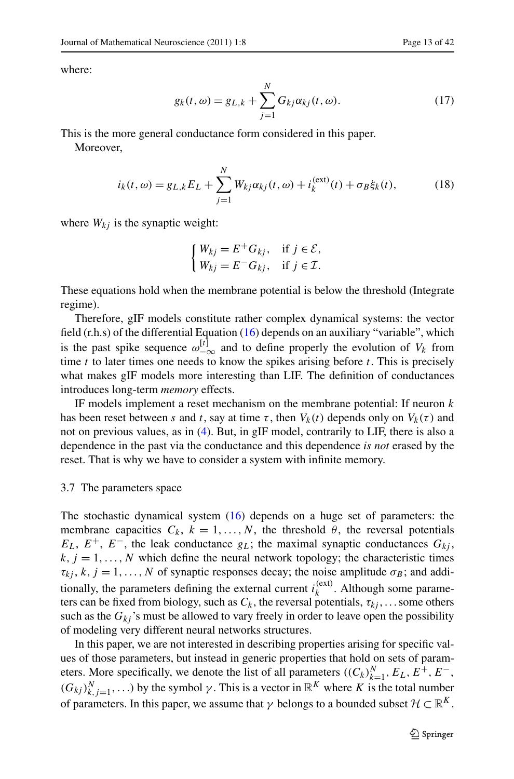where:

<span id="page-12-0"></span>
$$
g_k(t,\omega) = g_{L,k} + \sum_{j=1}^{N} G_{kj} \alpha_{kj}(t,\omega).
$$
 (17)

This is the more general conductance form considered in this paper.

Moreover,

$$
i_k(t, \omega) = g_{L,k} E_L + \sum_{j=1}^N W_{kj} \alpha_{kj}(t, \omega) + i_k^{(ext)}(t) + \sigma_B \xi_k(t),
$$
 (18)

where  $W_{ki}$  is the synaptic weight:

$$
\begin{cases} W_{kj} = E^+ G_{kj}, & \text{if } j \in \mathcal{E}, \\ W_{kj} = E^- G_{kj}, & \text{if } j \in \mathcal{I}. \end{cases}
$$

These equations hold when the membrane potential is below the threshold (Integrate regime).

Therefore, gIF models constitute rather complex dynamical systems: the vector field (r.h.s) of the differential Equation [\(16](#page-11-2)) depends on an auxiliary "variable", which is the past spike sequence  $\omega_{-\infty}^{[t]}$  and to define properly the evolution of  $V_k$  from time *t* to later times one needs to know the spikes arising before *t*. This is precisely what makes gIF models more interesting than LIF. The definition of conductances introduces long-term *memory* effects.

IF models implement a reset mechanism on the membrane potential: If neuron *k* has been reset between *s* and *t*, say at time  $\tau$ , then  $V_k(t)$  depends only on  $V_k(\tau)$  and not on previous values, as in ([4\)](#page-6-0). But, in gIF model, contrarily to LIF, there is also a dependence in the past via the conductance and this dependence *is not* erased by the reset. That is why we have to consider a system with infinite memory.

### 3.7 The parameters space

The stochastic dynamical system  $(16)$  $(16)$  depends on a huge set of parameters: the membrane capacities  $C_k$ ,  $k = 1, ..., N$ , the threshold  $\theta$ , the reversal potentials *E<sub>L</sub>*,  $E^+$ ,  $E^-$ , the leak conductance  $g_L$ ; the maximal synaptic conductances  $G_{kj}$ ,  $k, j = 1, \ldots, N$  which define the neural network topology; the characteristic times  $\tau_{kj}$ ,  $k, j = 1, \ldots, N$  of synaptic responses decay; the noise amplitude  $\sigma_B$ ; and additionally, the parameters defining the external current  $i_k^{(ext)}$ . Although some parameters can be fixed from biology, such as  $C_k$ , the reversal potentials,  $\tau_{ki}$ , ... some others such as the  $G_{kj}$ 's must be allowed to vary freely in order to leave open the possibility of modeling very different neural networks structures.

In this paper, we are not interested in describing properties arising for specific values of those parameters, but instead in generic properties that hold on sets of parameters. More specifically, we denote the list of all parameters  $((C_k)_{k=1}^N, E_L, E^+, E^-,$  $(G_{kj})_{k,j=1}^N, \ldots$ ) by the symbol  $\gamma$ . This is a vector in  $\mathbb{R}^K$  where *K* is the total number of parameters. In this paper, we assume that  $\gamma$  belongs to a bounded subset  $\mathcal{H} \subset \mathbb{R}^K$ .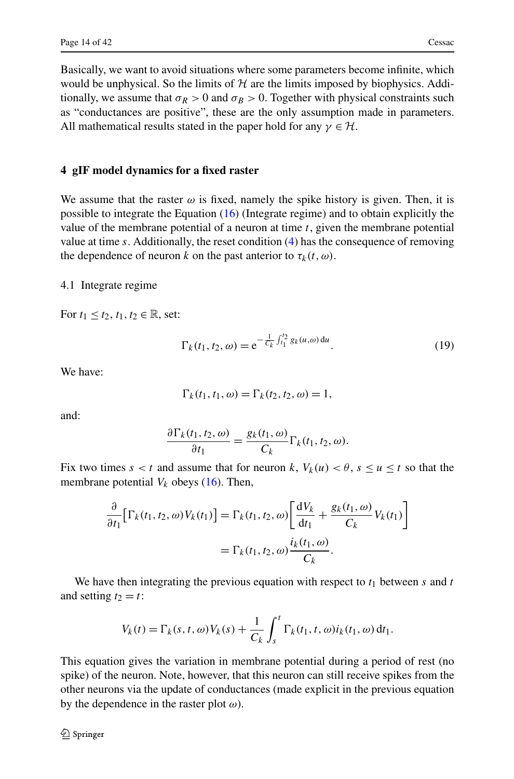<span id="page-13-0"></span>Basically, we want to avoid situations where some parameters become infinite, which would be unphysical. So the limits of  $H$  are the limits imposed by biophysics. Additionally, we assume that  $\sigma_R > 0$  and  $\sigma_B > 0$ . Together with physical constraints such as "conductances are positive", these are the only assumption made in parameters. All mathematical results stated in the paper hold for any  $\gamma \in \mathcal{H}$ .

## **4 gIF model dynamics for a fixed raster**

We assume that the raster  $\omega$  is fixed, namely the spike history is given. Then, it is possible to integrate the Equation [\(16](#page-11-2)) (Integrate regime) and to obtain explicitly the value of the membrane potential of a neuron at time *t*, given the membrane potential value at time *s*. Additionally, the reset condition ([4\)](#page-6-0) has the consequence of removing the dependence of neuron *k* on the past anterior to  $\tau_k(t, \omega)$ .

## 4.1 Integrate regime

For  $t_1 \le t_2, t_1, t_2 \in \mathbb{R}$ , set:

<span id="page-13-1"></span>
$$
\Gamma_k(t_1, t_2, \omega) = e^{-\frac{1}{C_k} \int_{t_1}^{t_2} g_k(u, \omega) du}.
$$
 (19)

We have:

$$
\Gamma_k(t_1, t_1, \omega) = \Gamma_k(t_2, t_2, \omega) = 1,
$$

and:

$$
\frac{\partial \Gamma_k(t_1, t_2, \omega)}{\partial t_1} = \frac{g_k(t_1, \omega)}{C_k} \Gamma_k(t_1, t_2, \omega).
$$

Fix two times  $s < t$  and assume that for neuron k,  $V_k(u) < \theta$ ,  $s \le u \le t$  so that the membrane potential  $V_k$  obeys ([16\)](#page-11-2). Then,

$$
\frac{\partial}{\partial t_1} \Big[ \Gamma_k(t_1, t_2, \omega) V_k(t_1) \Big] = \Gamma_k(t_1, t_2, \omega) \Big[ \frac{\mathrm{d}V_k}{\mathrm{d}t_1} + \frac{g_k(t_1, \omega)}{C_k} V_k(t_1) \Big]
$$

$$
= \Gamma_k(t_1, t_2, \omega) \frac{i_k(t_1, \omega)}{C_k}.
$$

We have then integrating the previous equation with respect to  $t_1$  between  $s$  and  $t$ and setting  $t_2 = t$ :

$$
V_k(t) = \Gamma_k(s, t, \omega) V_k(s) + \frac{1}{C_k} \int_s^t \Gamma_k(t_1, t, \omega) i_k(t_1, \omega) dt_1.
$$

This equation gives the variation in membrane potential during a period of rest (no spike) of the neuron. Note, however, that this neuron can still receive spikes from the other neurons via the update of conductances (made explicit in the previous equation by the dependence in the raster plot *ω*).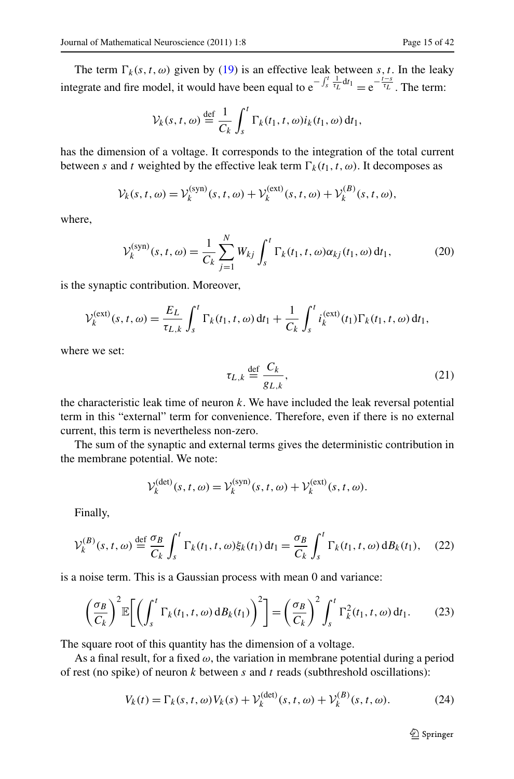The term  $\Gamma_k(s, t, \omega)$  given by [\(19](#page-13-1)) is an effective leak between *s*, *t*. In the leaky integrate and fire model, it would have been equal to  $e^{-\int_s^t \frac{1}{\tau_L} dt_1} = e^{-\frac{t-s}{\tau_L}}$ . The term:

<span id="page-14-1"></span>
$$
\mathcal{V}_k(s, t, \omega) \stackrel{\text{def}}{=} \frac{1}{C_k} \int_s^t \Gamma_k(t_1, t, \omega) i_k(t_1, \omega) dt_1,
$$

has the dimension of a voltage. It corresponds to the integration of the total current between *s* and *t* weighted by the effective leak term  $\Gamma_k(t_1, t, \omega)$ . It decomposes as

$$
\mathcal{V}_k(s, t, \omega) = \mathcal{V}_k^{(\text{syn})}(s, t, \omega) + \mathcal{V}_k^{(\text{ext})}(s, t, \omega) + \mathcal{V}_k^{(B)}(s, t, \omega),
$$

where,

$$
\mathcal{V}_k^{(\text{syn})}(s, t, \omega) = \frac{1}{C_k} \sum_{j=1}^N W_{kj} \int_s^t \Gamma_k(t_1, t, \omega) \alpha_{kj}(t_1, \omega) dt_1,
$$
 (20)

is the synaptic contribution. Moreover,

$$
\mathcal{V}_k^{(\text{ext})}(s,t,\omega) = \frac{E_L}{\tau_{L,k}} \int_s^t \Gamma_k(t_1,t,\omega) dt_1 + \frac{1}{C_k} \int_s^t i_k^{(\text{ext})}(t_1) \Gamma_k(t_1,t,\omega) dt_1,
$$

where we set:

<span id="page-14-2"></span>
$$
\tau_{L,k} \stackrel{\text{def}}{=} \frac{C_k}{g_{L,k}},\tag{21}
$$

the characteristic leak time of neuron *k*. We have included the leak reversal potential term in this "external" term for convenience. Therefore, even if there is no external current, this term is nevertheless non-zero.

The sum of the synaptic and external terms gives the deterministic contribution in the membrane potential. We note:

$$
\mathcal{V}_k^{(\text{det})}(s, t, \omega) = \mathcal{V}_k^{(\text{syn})}(s, t, \omega) + \mathcal{V}_k^{(\text{ext})}(s, t, \omega).
$$

Finally,

$$
\mathcal{V}_k^{(B)}(s,t,\omega) \stackrel{\text{def}}{=} \frac{\sigma_B}{C_k} \int_s^t \Gamma_k(t_1,t,\omega) \xi_k(t_1) \, \mathrm{d}t_1 = \frac{\sigma_B}{C_k} \int_s^t \Gamma_k(t_1,t,\omega) \, \mathrm{d}B_k(t_1), \quad (22)
$$

is a noise term. This is a Gaussian process with mean 0 and variance:

$$
\left(\frac{\sigma_B}{C_k}\right)^2 \mathbb{E}\bigg[\bigg(\int_s^t \Gamma_k(t_1, t, \omega) \, \mathrm{d}B_k(t_1)\bigg)^2\bigg] = \left(\frac{\sigma_B}{C_k}\right)^2 \int_s^t \Gamma_k^2(t_1, t, \omega) \, \mathrm{d}t_1. \tag{23}
$$

The square root of this quantity has the dimension of a voltage.

As a final result, for a fixed *ω*, the variation in membrane potential during a period of rest (no spike) of neuron *k* between *s* and *t* reads (subthreshold oscillations):

$$
V_k(t) = \Gamma_k(s, t, \omega) V_k(s) + V_k^{(\text{det})}(s, t, \omega) + V_k^{(B)}(s, t, \omega).
$$
 (24)

<span id="page-14-0"></span>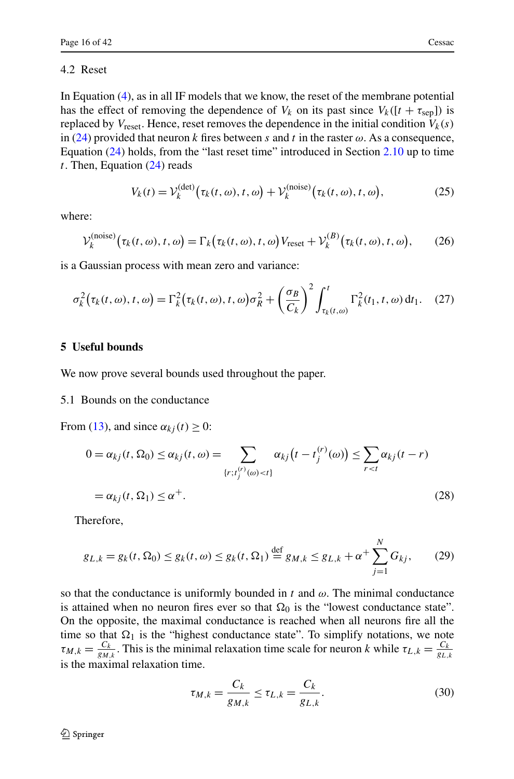#### <span id="page-15-6"></span>4.2 Reset

In Equation ([4\)](#page-6-0), as in all IF models that we know, the reset of the membrane potential has the effect of removing the dependence of  $V_k$  on its past since  $V_k([t + \tau_{\text{sep}}])$  is replaced by  $V_{\text{reset}}$ . Hence, reset removes the dependence in the initial condition  $V_k(s)$ in ([24\)](#page-14-0) provided that neuron *k* fires between *s* and *t* in the raster  $\omega$ . As a consequence, Equation ([24\)](#page-14-0) holds, from the "last reset time" introduced in Section [2.10](#page-7-0) up to time *t*. Then, Equation ([24\)](#page-14-0) reads

<span id="page-15-5"></span><span id="page-15-4"></span><span id="page-15-2"></span>
$$
V_k(t) = V_k^{(\text{det})}(\tau_k(t, \omega), t, \omega) + V_k^{(\text{noise})}(\tau_k(t, \omega), t, \omega), \qquad (25)
$$

where:

$$
\mathcal{V}_k^{(\text{noise})}(\tau_k(t,\omega),t,\omega) = \Gamma_k(\tau_k(t,\omega),t,\omega)V_{\text{reset}} + \mathcal{V}_k^{(B)}(\tau_k(t,\omega),t,\omega),\qquad(26)
$$

<span id="page-15-0"></span>is a Gaussian process with mean zero and variance:

$$
\sigma_k^2(\tau_k(t,\omega),t,\omega) = \Gamma_k^2(\tau_k(t,\omega),t,\omega)\sigma_R^2 + \left(\frac{\sigma_B}{C_k}\right)^2 \int_{\tau_k(t,\omega)}^t \Gamma_k^2(t_1,t,\omega) dt_1. \quad (27)
$$

## <span id="page-15-3"></span>**5 Useful bounds**

We now prove several bounds used throughout the paper.

#### 5.1 Bounds on the conductance

From [\(13](#page-10-1)), and since  $\alpha_{ki}(t) \geq 0$ :

<span id="page-15-1"></span>
$$
0 = \alpha_{kj}(t, \Omega_0) \le \alpha_{kj}(t, \omega) = \sum_{\{r : t_j^{(r)}(\omega) < t\}} \alpha_{kj}\big(t - t_j^{(r)}(\omega)\big) \le \sum_{r < t} \alpha_{kj}(t - r)
$$
\n
$$
= \alpha_{kj}(t, \Omega_1) \le \alpha^+.
$$
\n(28)

Therefore,

$$
g_{L,k} = g_k(t, \Omega_0) \le g_k(t, \omega) \le g_k(t, \Omega_1) \stackrel{\text{def}}{=} g_{M,k} \le g_{L,k} + \alpha^+ \sum_{j=1}^N G_{kj}, \qquad (29)
$$

so that the conductance is uniformly bounded in  $t$  and  $\omega$ . The minimal conductance is attained when no neuron fires ever so that  $\Omega_0$  is the "lowest conductance state". On the opposite, the maximal conductance is reached when all neurons fire all the time so that  $\Omega_1$  is the "highest conductance state". To simplify notations, we note  $\tau_{M,k} = \frac{C_k}{g_{M,k}}$ . This is the minimal relaxation time scale for neuron *k* while  $\tau_{L,k} = \frac{C_k}{g_{L,k}}$ is the maximal relaxation time.

$$
\tau_{M,k} = \frac{C_k}{g_{M,k}} \le \tau_{L,k} = \frac{C_k}{g_{L,k}}.\tag{30}
$$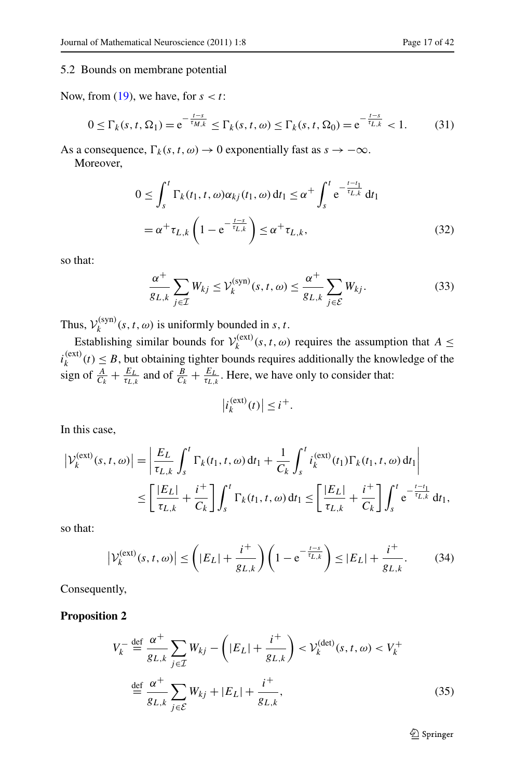### 5.2 Bounds on membrane potential

<span id="page-16-1"></span>Now, from  $(19)$  $(19)$ , we have, for  $s < t$ :

$$
0 \le \Gamma_k(s, t, \Omega_1) = e^{-\frac{t-s}{\tau_{M,k}}} \le \Gamma_k(s, t, \omega) \le \Gamma_k(s, t, \Omega_0) = e^{-\frac{t-s}{\tau_{L,k}}} < 1.
$$
 (31)

As a consequence,  $\Gamma_k(s, t, \omega) \to 0$  exponentially fast as  $s \to -\infty$ .

Moreover,

<span id="page-16-0"></span>
$$
0 \leq \int_{s}^{t} \Gamma_{k}(t_{1}, t, \omega) \alpha_{kj}(t_{1}, \omega) dt_{1} \leq \alpha^{+} \int_{s}^{t} e^{-\frac{t-t_{1}}{\tau_{L,k}}} dt_{1}
$$

$$
= \alpha^{+} \tau_{L,k} \left( 1 - e^{-\frac{t-s}{\tau_{L,k}}} \right) \leq \alpha^{+} \tau_{L,k}, \qquad (32)
$$

so that:

$$
\frac{\alpha^{+}}{g_{L,k}}\sum_{j\in\mathcal{I}}W_{kj}\leq\mathcal{V}_{k}^{(\text{syn})}(s,t,\omega)\leq\frac{\alpha^{+}}{g_{L,k}}\sum_{j\in\mathcal{E}}W_{kj}.
$$
 (33)

Thus,  $V_k^{(\text{syn})}(s, t, \omega)$  is uniformly bounded in *s*, *t*.

Establishing similar bounds for  $\mathcal{V}_k^{(ext)}(s,t,\omega)$  requires the assumption that  $A \leq$  $i_k^{(ext)}(t) \leq B$ , but obtaining tighter bounds requires additionally the knowledge of the sign of  $\frac{A}{C_k} + \frac{E_L}{\tau_{L,k}}$  and of  $\frac{B}{C_k} + \frac{E_L}{\tau_{L,k}}$ . Here, we have only to consider that:

$$
\left|i_k^{(ext)}(t)\right| \leq i^+.
$$

In this case,

$$
\left| \mathcal{V}_k^{(\text{ext})}(s, t, \omega) \right| = \left| \frac{E_L}{\tau_{L,k}} \int_s^t \Gamma_k(t_1, t, \omega) dt_1 + \frac{1}{C_k} \int_s^t i_k^{(\text{ext})}(t_1) \Gamma_k(t_1, t, \omega) dt_1 \right|
$$
  

$$
\leq \left[ \frac{|E_L|}{\tau_{L,k}} + \frac{i^+}{C_k} \right] \int_s^t \Gamma_k(t_1, t, \omega) dt_1 \leq \left[ \frac{|E_L|}{\tau_{L,k}} + \frac{i^+}{C_k} \right] \int_s^t e^{-\frac{t - t_1}{\tau_{L,k}}} dt_1,
$$

<span id="page-16-2"></span>so that:

$$
\left| \mathcal{V}_k^{(\text{ext})}(s, t, \omega) \right| \le \left( |E_L| + \frac{i^+}{g_{L,k}} \right) \left( 1 - e^{-\frac{t-s}{\tau_{L,k}}} \right) \le |E_L| + \frac{i^+}{g_{L,k}}. \tag{34}
$$

Consequently,

## **Proposition 2**

$$
V_k^- \stackrel{\text{def}}{=} \frac{\alpha^+}{g_{L,k}} \sum_{j \in \mathcal{I}} W_{kj} - \left( |E_L| + \frac{i^+}{g_{L,k}} \right) < \mathcal{V}_k^{\text{(det)}}(s, t, \omega) < V_k^+
$$
\n
$$
\stackrel{\text{def}}{=} \frac{\alpha^+}{g_{L,k}} \sum_{j \in \mathcal{E}} W_{kj} + |E_L| + \frac{i^+}{g_{L,k}},\tag{35}
$$

**◯** Springer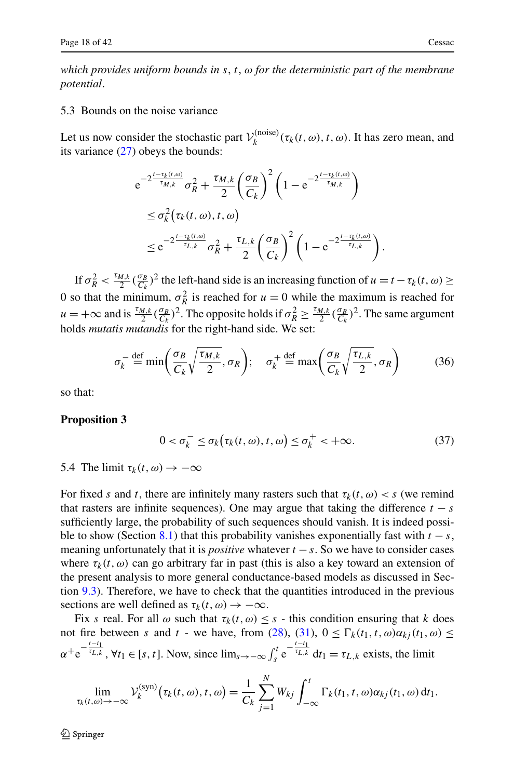*which provides uniform bounds in s*, *t*, *ω for the deterministic part of the membrane potential*.

#### 5.3 Bounds on the noise variance

Let us now consider the stochastic part  $V_k^{(noise)}(\tau_k(t, \omega), t, \omega)$ . It has zero mean, and its variance [\(27\)](#page-15-2) obeys the bounds:

$$
e^{-2\frac{t-\tau_k(t,\omega)}{\tau_{M,k}}} \sigma_R^2 + \frac{\tau_{M,k}}{2} \left(\frac{\sigma_B}{C_k}\right)^2 \left(1 - e^{-2\frac{t-\tau_k(t,\omega)}{\tau_{M,k}}}\right)
$$
  

$$
\leq \sigma_k^2 \left(\tau_k(t,\omega),t,\omega\right)
$$
  

$$
\leq e^{-2\frac{t-\tau_k(t,\omega)}{\tau_{L,k}}} \sigma_R^2 + \frac{\tau_{L,k}}{2} \left(\frac{\sigma_B}{C_k}\right)^2 \left(1 - e^{-2\frac{t-\tau_k(t,\omega)}{\tau_{L,k}}}\right).
$$

If  $\sigma_R^2 < \frac{\tau_{M,k}}{2} (\frac{\sigma_B}{C_k})^2$  the left-hand side is an increasing function of  $u = t - \tau_k(t, \omega) \ge$ 0 so that the minimum,  $\sigma_R^2$  is reached for  $u = 0$  while the maximum is reached for  $u = +\infty$  and is  $\frac{\tau_{M,k}}{2}(\frac{\sigma_B}{C_k})^2$ . The opposite holds if  $\sigma_R^2 \ge \frac{\tau_{M,k}}{2}(\frac{\sigma_B}{C_k})^2$ . The same argument holds *mutatis mutandis* for the right-hand side. We set:

$$
\sigma_k^- \stackrel{\text{def}}{=} \min\left(\frac{\sigma_B}{C_k} \sqrt{\frac{\tau_{M,k}}{2}}, \sigma_R\right); \quad \sigma_k^+ \stackrel{\text{def}}{=} \max\left(\frac{\sigma_B}{C_k} \sqrt{\frac{\tau_{L,k}}{2}}, \sigma_R\right) \tag{36}
$$

so that:

#### **Proposition 3**

<span id="page-17-0"></span>
$$
0 < \sigma_k^- \leq \sigma_k(\tau_k(t, \omega), t, \omega) \leq \sigma_k^+ < +\infty.
$$
 (37)

5.4 The limit  $\tau_k(t, \omega) \rightarrow -\infty$ 

For fixed *s* and *t*, there are infinitely many rasters such that  $\tau_k(t, \omega) < s$  (we remind that rasters are infinite sequences). One may argue that taking the difference  $t - s$ sufficiently large, the probability of such sequences should vanish. It is indeed possi-ble to show (Section [8.1\)](#page-29-1) that this probability vanishes exponentially fast with  $t - s$ , meaning unfortunately that it is *positive* whatever  $t - s$ . So we have to consider cases where  $\tau_k(t, \omega)$  can go arbitrary far in past (this is also a key toward an extension of the present analysis to more general conductance-based models as discussed in Section [9.3\)](#page-34-0). Therefore, we have to check that the quantities introduced in the previous sections are well defined as  $\tau_k(t, \omega) \rightarrow -\infty$ .

Fix *s* real. For all  $\omega$  such that  $\tau_k(t, \omega) \leq s$  - this condition ensuring that *k* does not fire between *s* and *t* - we have, from ([28\)](#page-15-3), ([31\)](#page-16-0),  $0 \leq \Gamma_k(t_1, t, \omega) \alpha_{ki}(t_1, \omega) \leq$  $\alpha^+ e^{-\frac{t-t_1}{\tau_{L,k}}}$ ,  $\forall t_1 \in [s, t]$ . Now, since  $\lim_{s \to -\infty} \int_s^t e^{-\frac{t-t_1}{\tau_{L,k}}} dt_1 = \tau_{L,k}$  exists, the limit

$$
\lim_{\tau_k(t,\omega)\to-\infty} \mathcal{V}_k^{(\text{syn})}(\tau_k(t,\omega),t,\omega) = \frac{1}{C_k} \sum_{j=1}^N W_{kj} \int_{-\infty}^t \Gamma_k(t_1,t,\omega) \alpha_{kj}(t_1,\omega) dt_1.
$$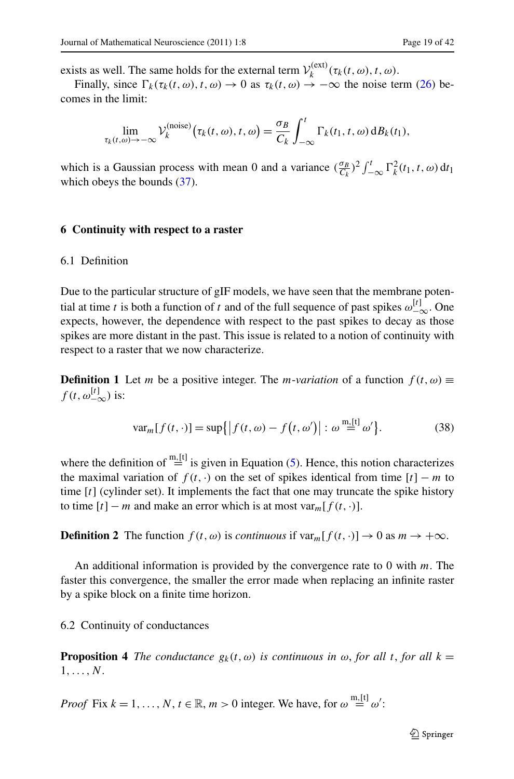exists as well. The same holds for the external term  $V_k^{(ext)}(\tau_k(t, \omega), t, \omega)$ .

Finally, since  $\Gamma_k(\tau_k(t, \omega), t, \omega) \to 0$  as  $\tau_k(t, \omega) \to -\infty$  the noise term [\(26](#page-15-4)) becomes in the limit:

$$
\lim_{\tau_k(t,\omega)\to-\infty} \mathcal{V}_k^{(\text{noise})}(\tau_k(t,\omega),t,\omega) = \frac{\sigma_B}{C_k} \int_{-\infty}^t \Gamma_k(t_1,t,\omega) dB_k(t_1),
$$

<span id="page-18-0"></span>which is a Gaussian process with mean 0 and a variance  $(\frac{\sigma_B}{C_k})^2 \int_{-\infty}^{t} \Gamma_k^2(t_1, t, \omega) dt_1$ which obeys the bounds  $(37)$  $(37)$ .

#### **6 Continuity with respect to a raster**

## 6.1 Definition

Due to the particular structure of gIF models, we have seen that the membrane potential at time *t* is both a function of *t* and of the full sequence of past spikes  $\omega_{-\infty}^{[t]}$ . One expects, however, the dependence with respect to the past spikes to decay as those spikes are more distant in the past. This issue is related to a notion of continuity with respect to a raster that we now characterize.

**Definition 1** Let *m* be a positive integer. The *m*-*variation* of a function  $f(t, \omega)$  $f(t, \omega_{-\infty}^{[t]})$  is:

<span id="page-18-1"></span>
$$
\text{var}_{m}[f(t,\cdot)] = \sup\{|f(t,\omega) - f(t,\omega')| : \omega \stackrel{\text{m.[t]}}{=} \omega'\}.
$$
 (38)

where the definition of  $\stackrel{m,[t]}{=}$  is given in Equation [\(5](#page-7-1)). Hence, this notion characterizes the maximal variation of  $f(t, \cdot)$  on the set of spikes identical from time  $[t] - m$  to time [*t*] (cylinder set). It implements the fact that one may truncate the spike history to time  $[t]$  – *m* and make an error which is at most var<sub>*m*</sub>  $[f(t, \cdot)]$ .

**Definition 2** The function  $f(t, \omega)$  is *continuous* if  $var_m[f(t, \cdot)] \to 0$  as  $m \to +\infty$ .

An additional information is provided by the convergence rate to 0 with *m*. The faster this convergence, the smaller the error made when replacing an infinite raster by a spike block on a finite time horizon.

#### 6.2 Continuity of conductances

**Proposition 4** *The conductance*  $g_k(t, \omega)$  *is continuous in*  $\omega$ , *for all t*, *for all*  $k =$ 1*,...,N*.

*Proof* Fix  $k = 1, ..., N$ ,  $t \in \mathbb{R}$ ,  $m > 0$  integer. We have, for  $\omega \stackrel{m,[t]}{=} \omega'$ :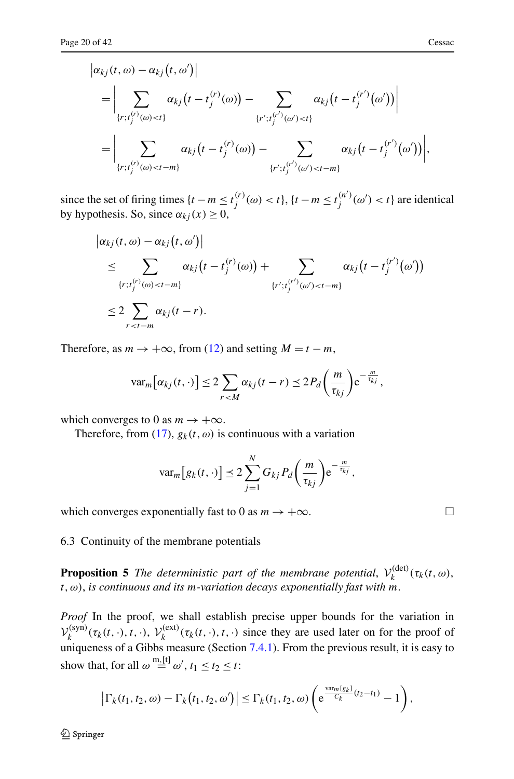$$
|\alpha_{kj}(t, \omega) - \alpha_{kj}(t, \omega')|
$$
  
\n
$$
= \Big| \sum_{\{r; t_j^{(r)}(\omega) < t\}} \alpha_{kj}(t - t_j^{(r)}(\omega)) - \sum_{\{r'; t_j^{(r')}(\omega') < t\}} \alpha_{kj}(t - t_j^{(r')}(\omega')) \Big|
$$
  
\n
$$
= \Big| \sum_{\{r; t_j^{(r)}(\omega) < t - m\}} \alpha_{kj}(t - t_j^{(r)}(\omega)) - \sum_{\{r'; t_j^{(r')}(\omega') < t - m\}} \alpha_{kj}(t - t_j^{(r')}(\omega')) \Big|,
$$

since the set of firing times  $\{t - m \le t_j^{(r)}(\omega) < t\}$ ,  $\{t - m \le t_j^{(n')}(\omega') < t\}$  are identical by hypothesis. So, since  $\alpha_{ki}(x) \geq 0$ ,

$$
|\alpha_{kj}(t, \omega) - \alpha_{kj}(t, \omega')|
$$
  
\n
$$
\leq \sum_{\{r : t_j^{(r)}(\omega) < t - m\}} \alpha_{kj}(t - t_j^{(r)}(\omega)) + \sum_{\{r' : t_j^{(r')}(\omega') < t - m\}} \alpha_{kj}(t - t_j^{(r')}(\omega'))
$$
  
\n
$$
\leq 2 \sum_{r < t - m} \alpha_{kj}(t - r).
$$

Therefore, as  $m \to +\infty$ , from [\(12\)](#page-10-2) and setting  $M = t - m$ ,

$$
\text{var}_{m}\big[\alpha_{kj}(t,\cdot)\big]\leq 2\sum_{r
$$

which converges to 0 as  $m \to +\infty$ .

Therefore, from [\(17](#page-12-0)),  $g_k(t, \omega)$  is continuous with a variation

$$
\text{var}_{m}\big[g_{k}(t,\cdot)\big]\leq 2\sum_{j=1}^{N}G_{kj}P_{d}\bigg(\frac{m}{\tau_{kj}}\bigg)e^{-\frac{m}{\tau_{kj}}},
$$

which converges exponentially fast to 0 as  $m \to +\infty$ .

6.3 Continuity of the membrane potentials

**Proposition 5** *The deterministic part of the membrane potential*,  $\mathcal{V}_k^{(\text{det})}(\tau_k(t, \omega))$ , *t,ω)*, *is continuous and its m-variation decays exponentially fast with m*.

*Proof* In the proof, we shall establish precise upper bounds for the variation in  $V_k^{(\text{syn})}(\tau_k(t,\cdot), t, \cdot), V_k^{(\text{ext})}(\tau_k(t,\cdot), t, \cdot)$  since they are used later on for the proof of uniqueness of a Gibbs measure (Section [7.4.1](#page-27-0)). From the previous result, it is easy to show that, for all  $\omega \stackrel{\text{m},[t]}{=} \omega', t_1 \le t_2 \le t$ :

$$
\left|\Gamma_k(t_1,t_2,\omega)-\Gamma_k\big(t_1,t_2,\omega'\big)\right|\leq \Gamma_k(t_1,t_2,\omega)\left(e^{\frac{\text{var}_{m}[g_k]}{C_k}(t_2-t_1)}-1\right),
$$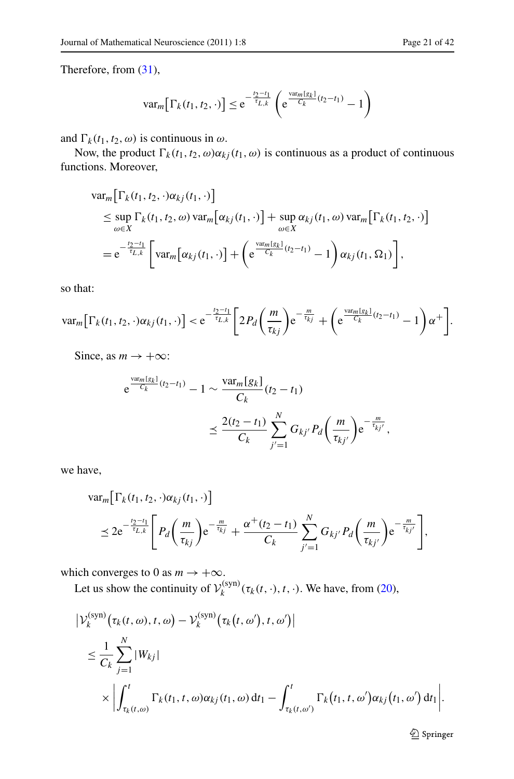Therefore, from [\(31](#page-16-0)),

$$
\text{var}_{m}\big[\Gamma_{k}(t_1, t_2, \cdot)\big] \leq e^{-\frac{t_2 - t_1}{\tau_{L,k}}}\left(e^{\frac{\text{var}_{m}[g_k]}{C_k}(t_2 - t_1)} - 1\right)
$$

and  $\Gamma_k(t_1, t_2, \omega)$  is continuous in  $\omega$ .

Now, the product  $\Gamma_k(t_1, t_2, \omega) \alpha_{kj}(t_1, \omega)$  is continuous as a product of continuous functions. Moreover,

$$
\operatorname{var}_{m} \Big[ \Gamma_{k}(t_{1}, t_{2}, \cdot) \alpha_{kj}(t_{1}, \cdot) \Big] \n\leq \sup_{\omega \in X} \Gamma_{k}(t_{1}, t_{2}, \omega) \operatorname{var}_{m} \Big[ \alpha_{kj}(t_{1}, \cdot) \Big] + \sup_{\omega \in X} \alpha_{kj}(t_{1}, \omega) \operatorname{var}_{m} \Big[ \Gamma_{k}(t_{1}, t_{2}, \cdot) \Big] \n= e^{-\frac{t_{2} - t_{1}}{\tau_{L,k}}} \Big[ \operatorname{var}_{m} \Big[ \alpha_{kj}(t_{1}, \cdot) \Big] + \Big( e^{\frac{\operatorname{var}_{m}[g_{k}]}{C_{k}}(t_{2} - t_{1})} - 1 \Big) \alpha_{kj}(t_{1}, \Omega_{1}) \Big],
$$

so that:

$$
\text{var}_{m}\big[\Gamma_{k}(t_1,t_2,\cdot)\alpha_{kj}(t_1,\cdot)\big] < \varepsilon^{-\frac{t_2-t_1}{\tau_{L,k}}}\bigg[2P_d\bigg(\frac{m}{\tau_{kj}}\bigg)e^{-\frac{m}{\tau_{kj}}} + \bigg(e^{\frac{\text{var}_{m}[s_k]}{C_k}(t_2-t_1)}-1\bigg)\alpha^+\bigg].
$$

Since, as  $m \rightarrow +\infty$ :

$$
e^{\frac{\text{var}_{m}[g_{k}]}{C_{k}}(t_{2}-t_{1})}-1 \sim \frac{\text{var}_{m}[g_{k}]}{C_{k}}(t_{2}-t_{1})
$$
  

$$
\leq \frac{2(t_{2}-t_{1})}{C_{k}}\sum_{j'=1}^{N}G_{kj'}P_{d}\left(\frac{m}{\tau_{kj'}}\right)e^{-\frac{m}{\tau_{kj'}}},
$$

we have,

$$
\operatorname{var}_{m} \Big[ \Gamma_{k}(t_{1}, t_{2}, \cdot) \alpha_{kj}(t_{1}, \cdot) \Big] \leq 2 e^{-\frac{t_{2} - t_{1}}{\tau_{L,k}}} \Bigg[ P_{d} \Big( \frac{m}{\tau_{kj}} \Big) e^{-\frac{m}{\tau_{kj}}} + \frac{\alpha^{+}(t_{2} - t_{1})}{C_{k}} \sum_{j'=1}^{N} G_{kj'} P_{d} \Big( \frac{m}{\tau_{kj'}} \Big) e^{-\frac{m}{\tau_{kj'}}} \Bigg],
$$

which converges to 0 as  $m \to +\infty$ .

Let us show the continuity of  $\mathcal{V}_k^{(\text{syn})}(\tau_k(t, \cdot), t, \cdot)$ . We have, from ([20\)](#page-14-1),

$$
\begin{split} \left| \mathcal{V}_k^{(\text{syn})} \big( \tau_k(t, \omega), t, \omega \big) - \mathcal{V}_k^{(\text{syn})} \big( \tau_k(t, \omega'), t, \omega' \big) \right| \\ &\leq \frac{1}{C_k} \sum_{j=1}^N |W_{kj}| \\ &\times \left| \int_{\tau_k(t, \omega)}^t \Gamma_k(t_1, t, \omega) \alpha_{kj}(t_1, \omega) \, \mathrm{d}t_1 - \int_{\tau_k(t, \omega)}^t \Gamma_k(t_1, t, \omega') \alpha_{kj}(t_1, \omega') \, \mathrm{d}t_1 \right| . \end{split}
$$

**◯** Springer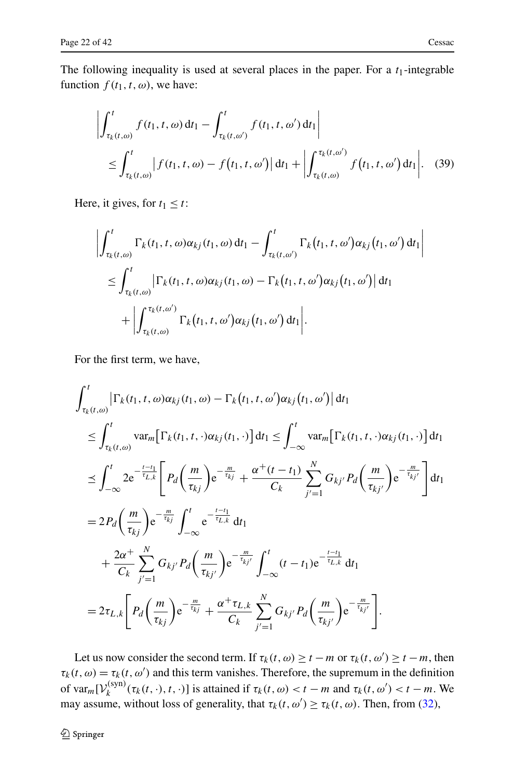<span id="page-21-0"></span>The following inequality is used at several places in the paper. For a  $t_1$ -integrable function  $f(t_1, t, \omega)$ , we have:

$$
\left| \int_{\tau_k(t,\omega)}^t f(t_1, t, \omega) dt_1 - \int_{\tau_k(t,\omega)}^t f(t_1, t, \omega') dt_1 \right|
$$
  
\n
$$
\leq \int_{\tau_k(t,\omega)}^t \left| f(t_1, t, \omega) - f(t_1, t, \omega') \right| dt_1 + \left| \int_{\tau_k(t,\omega)}^{\tau_k(t,\omega')} f(t_1, t, \omega') dt_1 \right|. \quad (39)
$$

Here, it gives, for  $t_1 \leq t$ :

$$
\left| \int_{\tau_k(t,\omega)}^t \Gamma_k(t_1,t,\omega) \alpha_{kj}(t_1,\omega) dt_1 - \int_{\tau_k(t,\omega')}^t \Gamma_k(t_1,t,\omega') \alpha_{kj}(t_1,\omega') dt_1 \right|
$$
  
\n
$$
\leq \int_{\tau_k(t,\omega)}^t \left| \Gamma_k(t_1,t,\omega) \alpha_{kj}(t_1,\omega) - \Gamma_k(t_1,t,\omega') \alpha_{kj}(t_1,\omega') \right| dt_1
$$
  
\n
$$
+ \left| \int_{\tau_k(t,\omega)}^{\tau_k(t,\omega')} \Gamma_k(t_1,t,\omega') \alpha_{kj}(t_1,\omega') dt_1 \right|.
$$

For the first term, we have,

$$
\int_{\tau_k(t,\omega)}^t \left| \Gamma_k(t_1,t,\omega) \alpha_{kj}(t_1,\omega) - \Gamma_k(t_1,t,\omega') \alpha_{kj}(t_1,\omega') \right| dt_1
$$
\n
$$
\leq \int_{\tau_k(t,\omega)}^t \text{var}_m \left[ \Gamma_k(t_1,t,\cdot) \alpha_{kj}(t_1,\cdot) \right] dt_1 \leq \int_{-\infty}^t \text{var}_m \left[ \Gamma_k(t_1,t,\cdot) \alpha_{kj}(t_1,\cdot) \right] dt_1
$$
\n
$$
\leq \int_{-\infty}^t 2e^{-\frac{t-t_1}{\tau_{L,k}}} \left[ P_d \left( \frac{m}{\tau_{kj}} \right) e^{-\frac{m}{\tau_{kj}}} + \frac{\alpha^+(t-t_1)}{C_k} \sum_{j'=1}^N G_{kj'} P_d \left( \frac{m}{\tau_{kj'}} \right) e^{-\frac{m}{\tau_{kj'}}} \right] dt_1
$$
\n
$$
= 2P_d \left( \frac{m}{\tau_{kj}} \right) e^{-\frac{m}{\tau_{kj}}} \int_{-\infty}^t e^{-\frac{t-t_1}{\tau_{L,k}}} dt_1
$$
\n
$$
+ \frac{2\alpha^+}{C_k} \sum_{j'=1}^N G_{kj'} P_d \left( \frac{m}{\tau_{kj'}} \right) e^{-\frac{m}{\tau_{kj'}}} \int_{-\infty}^t (t-t_1) e^{-\frac{t-t_1}{\tau_{L,k}}} dt_1
$$
\n
$$
= 2\tau_{L,k} \left[ P_d \left( \frac{m}{\tau_{kj}} \right) e^{-\frac{m}{\tau_{kj}}} + \frac{\alpha^+ \tau_{L,k}}{C_k} \sum_{j'=1}^N G_{kj'} P_d \left( \frac{m}{\tau_{kj'}} \right) e^{-\frac{m}{\tau_{kj'}}} \right].
$$

Let us now consider the second term. If  $\tau_k(t, \omega) \ge t - m$  or  $\tau_k(t, \omega') \ge t - m$ , then  $\tau_k(t, \omega) = \tau_k(t, \omega')$  and this term vanishes. Therefore, the supremum in the definition of  $var_m[\mathcal{V}_k^{(\text{syn})}(\tau_k(t, \cdot), t, \cdot)]$  is attained if  $\tau_k(t, \omega) < t - m$  and  $\tau_k(t, \omega') < t - m$ . We may assume, without loss of generality, that  $\tau_k(t, \omega') \ge \tau_k(t, \omega)$ . Then, from [\(32](#page-16-1)),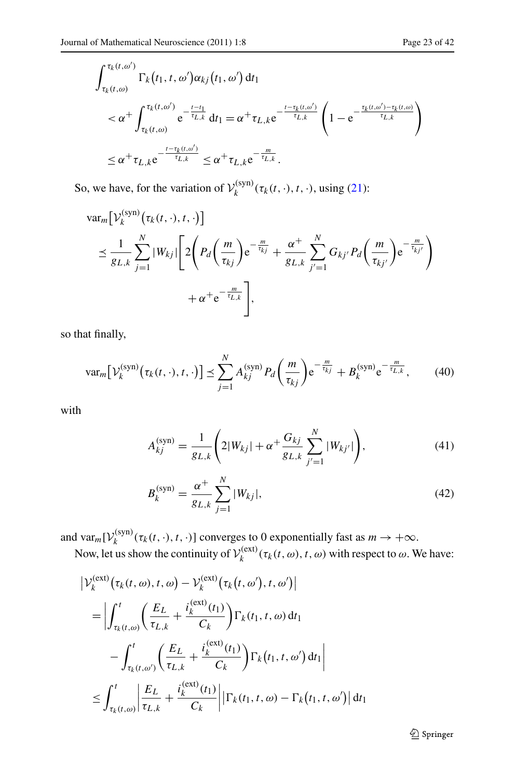$$
\int_{\tau_k(t,\omega)}^{\tau_k(t,\omega')} \Gamma_k(t_1,t,\omega') \alpha_{kj}(t_1,\omega') dt_1
$$
\n
$$
< \alpha^+ \int_{\tau_k(t,\omega)}^{\tau_k(t,\omega')} e^{-\frac{t-t_1}{\tau_{L,k}}} dt_1 = \alpha^+ \tau_{L,k} e^{-\frac{t-\tau_k(t,\omega')}{\tau_{L,k}}} \left(1 - e^{-\frac{\tau_k(t,\omega')-\tau_k(t,\omega)}{\tau_{L,k}}}\right)
$$
\n
$$
\leq \alpha^+ \tau_{L,k} e^{-\frac{t-\tau_k(t,\omega')}{\tau_{L,k}}} \leq \alpha^+ \tau_{L,k} e^{-\frac{m}{\tau_{L,k}}}.
$$

So, we have, for the variation of  $V_k^{(\text{syn})}(\tau_k(t, \cdot), t, \cdot)$ , using [\(21](#page-14-2)):

$$
\operatorname{var}_{m} \left[ \mathcal{V}_{k}^{(\mathrm{syn})} \left( \tau_{k}(t, \cdot), t, \cdot \right) \right]
$$
\n
$$
\leq \frac{1}{g_{L,k}} \sum_{j=1}^{N} |W_{kj}| \left[ 2 \left( P_{d} \left( \frac{m}{\tau_{kj}} \right) e^{-\frac{m}{\tau_{kj}}} + \frac{\alpha^{+}}{g_{L,k}} \sum_{j'=1}^{N} G_{kj'} P_{d} \left( \frac{m}{\tau_{kj'}} \right) e^{-\frac{m}{\tau_{kj'}}} \right) + \alpha^{+} e^{-\frac{m}{\tau_{L,k}}} \right],
$$

<span id="page-22-1"></span>so that finally,

$$
\text{var}_{m}\left[\mathcal{V}_{k}^{(\text{syn})}\left(\tau_{k}(t,\cdot),t,\cdot\right)\right] \leq \sum_{j=1}^{N} A_{kj}^{(\text{syn})} P_{d}\left(\frac{m}{\tau_{kj}}\right) e^{-\frac{m}{\tau_{kj}}} + B_{k}^{(\text{syn})} e^{-\frac{m}{\tau_{L,k}}},\tag{40}
$$

<span id="page-22-2"></span>with

<span id="page-22-0"></span>
$$
A_{kj}^{(\text{syn})} = \frac{1}{g_{L,k}} \left( 2|W_{kj}| + \alpha + \frac{G_{kj}}{g_{L,k}} \sum_{j'=1}^{N} |W_{kj'}| \right),\tag{41}
$$

$$
B_k^{(\text{syn})} = \frac{\alpha^+}{g_{L,k}} \sum_{j=1}^N |W_{kj}|,\tag{42}
$$

and var<sub>m</sub> $[\mathcal{V}_k^{(\text{syn})}(\tau_k(t, \cdot), t, \cdot)]$  converges to 0 exponentially fast as  $m \to +\infty$ .

Now, let us show the continuity of  $\mathcal{V}_k^{(ext)}(\tau_k(t, \omega), t, \omega)$  with respect to  $\omega$ . We have:

$$
\begin{split} \left| \mathcal{V}_{k}^{(\text{ext})} \left( \tau_{k}(t,\omega), t, \omega \right) - \mathcal{V}_{k}^{(\text{ext})} \left( \tau_{k}(t,\omega'), t, \omega' \right) \right| \\ & = \left| \int_{\tau_{k}(t,\omega)}^{t} \left( \frac{E_{L}}{\tau_{L,k}} + \frac{i_{k}^{(\text{ext})}(t_{1})}{C_{k}} \right) \Gamma_{k}(t_{1},t,\omega) dt_{1} \right. \\ & \left. - \int_{\tau_{k}(t,\omega')}^{t} \left( \frac{E_{L}}{\tau_{L,k}} + \frac{i_{k}^{(\text{ext})}(t_{1})}{C_{k}} \right) \Gamma_{k}(t_{1},t,\omega') dt_{1} \right| \\ & \leq \int_{\tau_{k}(t,\omega)}^{t} \left| \frac{E_{L}}{\tau_{L,k}} + \frac{i_{k}^{(\text{ext})}(t_{1})}{C_{k}} \right| \left| \Gamma_{k}(t_{1},t,\omega) - \Gamma_{k}(t_{1},t,\omega') \right| dt_{1} \end{split}
$$

2 Springer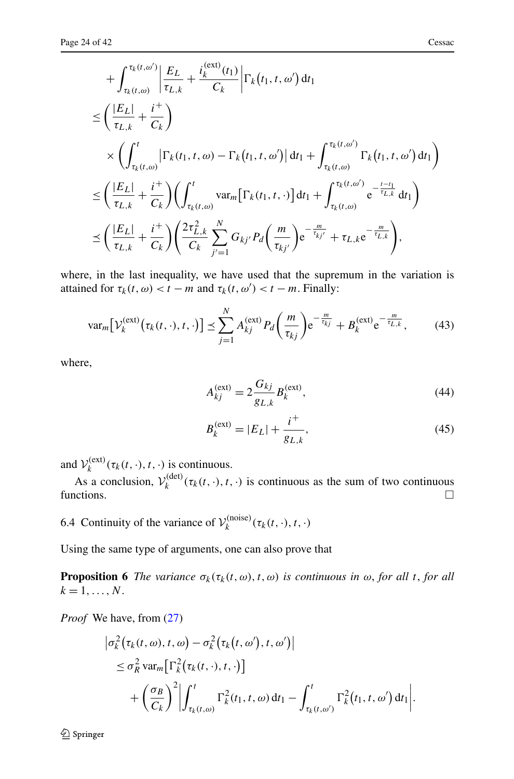$$
+\int_{\tau_k(t,\omega)}^{\tau_k(t,\omega)} \left| \frac{E_L}{\tau_{L,k}} + \frac{i_{k}^{(\text{ext})}(t_1)}{C_k} \right| \Gamma_k(t_1, t, \omega') dt_1
$$
  
\n
$$
\leq \left( \frac{|E_L|}{\tau_{L,k}} + \frac{i^+}{C_k} \right)
$$
  
\n
$$
\times \left( \int_{\tau_k(t,\omega)}^t \left| \Gamma_k(t_1, t, \omega) - \Gamma_k(t_1, t, \omega') \right| dt_1 + \int_{\tau_k(t,\omega)}^{\tau_k(t,\omega')} \Gamma_k(t_1, t, \omega') dt_1 \right)
$$
  
\n
$$
\leq \left( \frac{|E_L|}{\tau_{L,k}} + \frac{i^+}{C_k} \right) \left( \int_{\tau_k(t,\omega)}^t \text{var}_m \left[ \Gamma_k(t_1, t, \cdot) \right] dt_1 + \int_{\tau_k(t,\omega)}^{\tau_k(t,\omega')} e^{-\frac{t - t_1}{\tau_{L,k}}} dt_1 \right)
$$
  
\n
$$
\leq \left( \frac{|E_L|}{\tau_{L,k}} + \frac{i^+}{C_k} \right) \left( \frac{2\tau_{L,k}^2}{C_k} \sum_{j'=1}^N G_{kj'} P_d \left( \frac{m}{\tau_{kj'}} \right) e^{-\frac{m}{\tau_{kj'}}} + \tau_{L,k} e^{-\frac{m}{\tau_{L,k}}} \right),
$$

<span id="page-23-0"></span>*(*ext*)*

where, in the last inequality, we have used that the supremum in the variation is attained for  $\tau_k(t, \omega) < t - m$  and  $\tau_k(t, \omega') < t - m$ . Finally:

<span id="page-23-2"></span><span id="page-23-1"></span>
$$
\text{var}_{m}\big[\mathcal{V}_{k}^{(\text{ext})}\big(\tau_{k}(t,\cdot),t,\cdot\big)\big] \leq \sum_{j=1}^{N} A_{kj}^{(\text{ext})} P_{d}\bigg(\frac{m}{\tau_{kj}}\bigg) e^{-\frac{m}{\tau_{kj}}} + B_{k}^{(\text{ext})} e^{-\frac{m}{\tau_{L,k}}},\tag{43}
$$

where,

$$
A_{kj}^{(ext)} = 2 \frac{G_{kj}}{g_{L,k}} B_k^{(ext)},
$$
\n(44)

$$
B_k^{(ext)} = |E_L| + \frac{i^+}{g_{L,k}},
$$
\n(45)

and  $V_k^{(ext)}(\tau_k(t,\cdot),t,\cdot)$  is continuous.

As a conclusion,  $V_k^{(\text{det})}(\tau_k(t,\cdot), t, \cdot)$  is continuous as the sum of two continuous functions.  $\Box$ 

6.4 Continuity of the variance of  $\mathcal{V}_k^{(\text{noise})}(\tau_k(t, \cdot), t, \cdot)$ 

Using the same type of arguments, one can also prove that

**Proposition 6** *The variance*  $\sigma_k(\tau_k(t, \omega), t, \omega)$  *is continuous in*  $\omega$ , *for all t*, *for all*  $k = 1, \ldots, N$ .

*Proof* We have, from [\(27](#page-15-2))

$$
\begin{split} \left| \sigma_k^2 \big( \tau_k(t, \omega), t, \omega \big) - \sigma_k^2 \big( \tau_k(t, \omega'), t, \omega' \big) \right| \\ &\leq \sigma_R^2 \operatorname{var}_m \Big[ \Gamma_k^2 \big( \tau_k(t, \cdot), t, \cdot \big) \Big] \\ &\quad + \bigg( \frac{\sigma_B}{C_k} \bigg)^2 \bigg| \int_{\tau_k(t, \omega)}^t \Gamma_k^2(t_1, t, \omega) \, \mathrm{d}t_1 - \int_{\tau_k(t, \omega')}^t \Gamma_k^2 \big( t_1, t, \omega' \big) \, \mathrm{d}t_1 \bigg| . \end{split}
$$

 $\hat{Z}$  Springer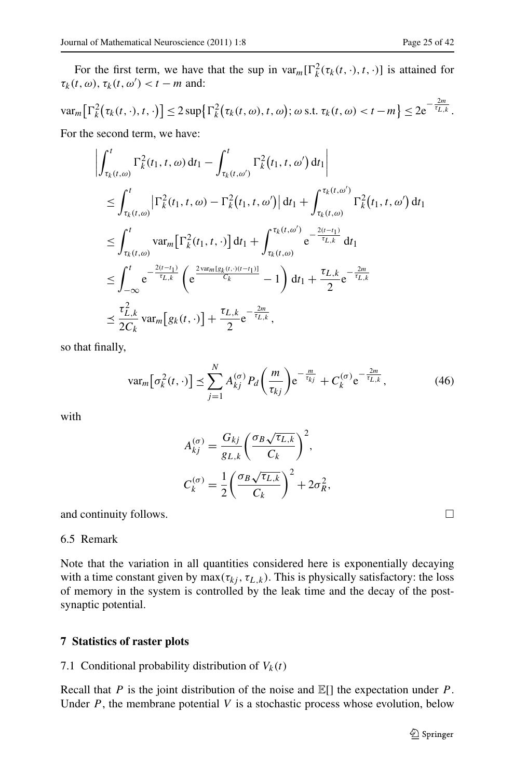For the first term, we have that the sup in  $var_m[\Gamma_k^2(\tau_k(t, \cdot), t, \cdot)]$  is attained for  $\tau_k(t, \omega), \tau_k(t, \omega') < t - m$  and:

 $\text{var}_{m}\big[\Gamma_{k}^{2}\big(\tau_{k}(t,\cdot),t,\cdot\big)\big]\leq 2\sup\big{\{}\Gamma_{k}^{2}\big(\tau_{k}(t,\omega),t,\omega\big);\omega\text{ s.t. }\tau_{k}(t,\omega)$ For the second term, we have:

$$
\left| \int_{\tau_{k}(t,\omega)}^{t} \Gamma_{k}^{2}(t_{1}, t, \omega) dt_{1} - \int_{\tau_{k}(t,\omega')}^{t} \Gamma_{k}^{2}(t_{1}, t, \omega') dt_{1} \right|
$$
\n
$$
\leq \int_{\tau_{k}(t,\omega)}^{t} \left| \Gamma_{k}^{2}(t_{1}, t, \omega) - \Gamma_{k}^{2}(t_{1}, t, \omega') \right| dt_{1} + \int_{\tau_{k}(t,\omega)}^{\tau_{k}(t,\omega')} \Gamma_{k}^{2}(t_{1}, t, \omega') dt_{1}
$$
\n
$$
\leq \int_{\tau_{k}(t,\omega)}^{t} \text{var}_{m} \left[ \Gamma_{k}^{2}(t_{1}, t, \cdot) \right] dt_{1} + \int_{\tau_{k}(t,\omega)}^{\tau_{k}(t,\omega')} e^{-\frac{2(t-t_{1})}{T_{L,k}}} dt_{1}
$$
\n
$$
\leq \int_{-\infty}^{t} e^{-\frac{2(t-t_{1})}{\tau_{L,k}}} \left( e^{\frac{2\text{var}_{m}[g_{k}(t, \cdot)(t-t_{1})]}{C_{k}}} - 1 \right) dt_{1} + \frac{\tau_{L,k}}{2} e^{-\frac{2m}{\tau_{L,k}}}
$$
\n
$$
\leq \frac{\tau_{L,k}^{2}}{2C_{k}} \text{var}_{m} \left[ g_{k}(t, \cdot) \right] + \frac{\tau_{L,k}}{2} e^{-\frac{2m}{\tau_{L,k}}},
$$

so that finally,

$$
\text{var}_{m} \left[ \sigma_{k}^{2}(t, \cdot) \right] \leq \sum_{j=1}^{N} A_{kj}^{(\sigma)} P_{d} \left( \frac{m}{\tau_{kj}} \right) e^{-\frac{m}{\tau_{kj}}} + C_{k}^{(\sigma)} e^{-\frac{2m}{\tau_{L,k}}}, \tag{46}
$$

with

<span id="page-24-1"></span>
$$
A_{kj}^{(\sigma)} = \frac{G_{kj}}{g_{L,k}} \left(\frac{\sigma_B \sqrt{\tau_{L,k}}}{C_k}\right)^2,
$$
  

$$
C_k^{(\sigma)} = \frac{1}{2} \left(\frac{\sigma_B \sqrt{\tau_{L,k}}}{C_k}\right)^2 + 2\sigma_R^2,
$$

and continuity follows.

## <span id="page-24-0"></span>6.5 Remark

Note that the variation in all quantities considered here is exponentially decaying with a time constant given by  $max(\tau_{kj}, \tau_{L,k})$ . This is physically satisfactory: the loss of memory in the system is controlled by the leak time and the decay of the postsynaptic potential.

#### **7 Statistics of raster plots**

## 7.1 Conditional probability distribution of  $V_k(t)$

Recall that *P* is the joint distribution of the noise and  $\mathbb{E}[\]$  the expectation under *P*. Under  $P$ , the membrane potential  $V$  is a stochastic process whose evolution, below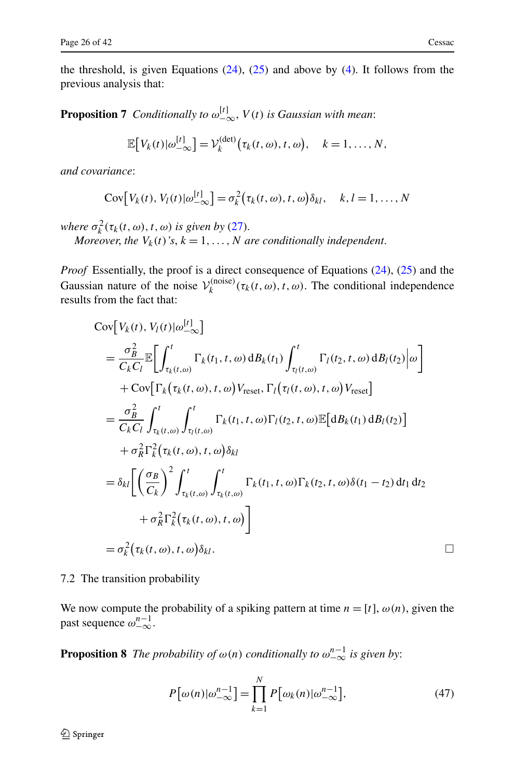the threshold, is given Equations ([24\)](#page-14-0), [\(25](#page-15-5)) and above by ([4\)](#page-6-0). It follows from the previous analysis that:

**Proposition 7** *Conditionally to*  $\omega_{-\infty}^{[t]}$ ,  $V(t)$  *is Gaussian with mean*:

$$
\mathbb{E}\big[V_k(t)|\omega_{-\infty}^{[t]}\big] = \mathcal{V}_k^{(\text{det})}\big(\tau_k(t,\omega),t,\omega\big), \quad k=1,\ldots,N,
$$

*and covariance*:

$$
Cov[V_k(t), V_l(t)|\omega_{-\infty}^{[t]}] = \sigma_k^2(\tau_k(t, \omega), t, \omega)\delta_{kl}, \quad k, l = 1, ..., N
$$

*where*  $\sigma_k^2(\tau_k(t, \omega), t, \omega)$  *is given by* [\(27\)](#page-15-2).

*Moreover, the*  $V_k(t)$ *'s,*  $k = 1, ..., N$  *are conditionally independent.* 

*Proof* Essentially, the proof is a direct consequence of Equations ([24\)](#page-14-0), ([25\)](#page-15-5) and the Gaussian nature of the noise  $V_k^{(noise)}(\tau_k(t, \omega), t, \omega)$ . The conditional independence results from the fact that:

$$
\begin{split}\n&\text{Cov}\Big[V_{k}(t), V_{l}(t)|\omega_{-\infty}^{[t]}\Big] \\
&= \frac{\sigma_{B}^{2}}{C_{k}C_{l}}\mathbb{E}\Big[\int_{\tau_{k}(t,\omega)}^{t} \Gamma_{k}(t_{1}, t, \omega) \, \mathrm{d}B_{k}(t_{1}) \int_{\tau_{l}(t,\omega)}^{t} \Gamma_{l}(t_{2}, t, \omega) \, \mathrm{d}B_{l}(t_{2}) \Big|\omega\Big] \\
&+ \text{Cov}\Big[\Gamma_{k}\big(\tau_{k}(t, \omega), t, \omega\big)V_{\text{reset}}, \Gamma_{l}\big(\tau_{l}(t, \omega), t, \omega\big)V_{\text{reset}}\Big] \\
&= \frac{\sigma_{B}^{2}}{C_{k}C_{l}} \int_{\tau_{k}(t,\omega)}^{t} \int_{\tau_{l}(t,\omega)}^{t} \Gamma_{k}(t_{1}, t, \omega) \Gamma_{l}(t_{2}, t, \omega) \mathbb{E}\big[\mathrm{d}B_{k}(t_{1}) \, \mathrm{d}B_{l}(t_{2})\big] \\
&+ \sigma_{R}^{2} \Gamma_{k}^{2}\big(\tau_{k}(t, \omega), t, \omega\big)\delta_{kl} \\
&= \delta_{kl}\Big[\bigg(\frac{\sigma_{B}}{C_{k}}\bigg)^{2} \int_{\tau_{k}(t,\omega)}^{t} \int_{\tau_{k}(t,\omega)}^{t} \Gamma_{k}(t_{1}, t, \omega) \Gamma_{k}(t_{2}, t, \omega) \delta(t_{1} - t_{2}) \, \mathrm{d}t_{1} \, \mathrm{d}t_{2} \\
&+ \sigma_{R}^{2} \Gamma_{k}^{2}\big(\tau_{k}(t, \omega), t, \omega\big)\Big] \\
&= \sigma_{k}^{2}\big(\tau_{k}(t, \omega), t, \omega\big)\delta_{kl}.\n\end{split}
$$

#### 7.2 The transition probability

We now compute the probability of a spiking pattern at time  $n = [t]$ ,  $\omega(n)$ , given the past sequence  $\omega_{-\infty}^{n-1}$ .

**Proposition 8** *The probability of*  $\omega(n)$  *conditionally to*  $\omega_{-\infty}^{n-1}$  *is given by:* 

<span id="page-25-0"></span>
$$
P[\omega(n)|\omega_{-\infty}^{n-1}] = \prod_{k=1}^{N} P[\omega_k(n)|\omega_{-\infty}^{n-1}],
$$
\n(47)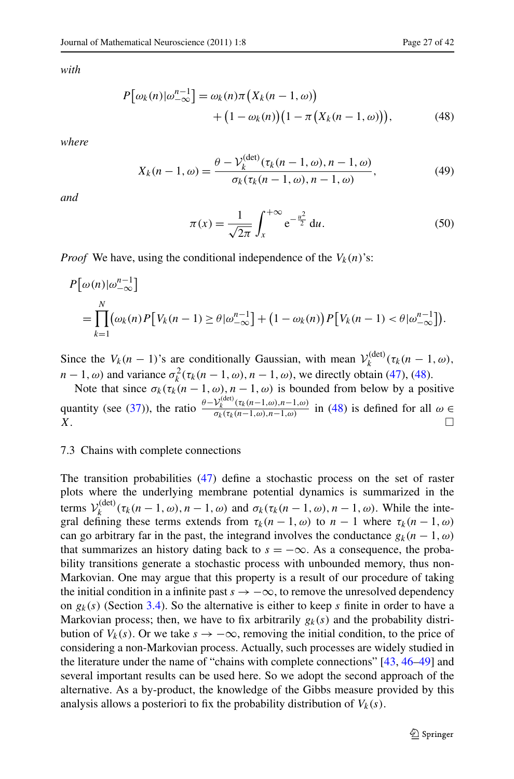<span id="page-26-0"></span>*with*

$$
P[\omega_k(n)|\omega_{-\infty}^{n-1}] = \omega_k(n)\pi\big(X_k(n-1,\omega)\big) + \big(1-\omega_k(n)\big)\big(1-\pi\big(X_k(n-1,\omega)\big)\big),
$$
\n(48)

*where*

$$
X_k(n-1,\omega) = \frac{\theta - \mathcal{V}_k^{(\text{det})}(\tau_k(n-1,\omega), n-1, \omega)}{\sigma_k(\tau_k(n-1,\omega), n-1, \omega)},
$$
(49)

*and*

<span id="page-26-1"></span>
$$
\pi(x) = \frac{1}{\sqrt{2\pi}} \int_{x}^{+\infty} e^{-\frac{u^2}{2}} du.
$$
 (50)

*Proof* We have, using the conditional independence of the  $V_k(n)$ 's:

$$
P[\omega(n)|\omega_{-\infty}^{n-1}]
$$
  
= 
$$
\prod_{k=1}^{N} (\omega_k(n)P[V_k(n-1)\geq \theta|\omega_{-\infty}^{n-1}] + (1-\omega_k(n))P[V_k(n-1)<\theta|\omega_{-\infty}^{n-1}]).
$$

Since the  $V_k(n-1)$ 's are conditionally Gaussian, with mean  $V_k^{(\text{det})}(\tau_k(n-1,\omega))$ , *n* − 1*, ω*) and variance  $\sigma_k^2(\tau_k(n-1,\omega), n-1,\omega)$ , we directly obtain [\(47](#page-25-0)), ([48\)](#page-26-0).

Note that since  $\sigma_k(\tau_k(n-1,\omega), n-1, \omega)$  is bounded from below by a positive quantity (see [\(37\)](#page-17-0)), the ratio  $\frac{\theta - V_k^{(\text{det})}(\tau_k(n-1,\omega),n-1,\omega)}{\sigma_k(\tau_k(n-1,\omega),n-1,\omega)}$  in ([48\)](#page-26-0) is defined for all  $\omega \in X$ .

## 7.3 Chains with complete connections

The transition probabilities ([47\)](#page-25-0) define a stochastic process on the set of raster plots where the underlying membrane potential dynamics is summarized in the terms  $V_k^{(\text{det})}(\tau_k(n-1,\omega), n-1,\omega)$  and  $\sigma_k(\tau_k(n-1,\omega), n-1,\omega)$ . While the integral defining these terms extends from  $\tau_k(n-1,\omega)$  to  $n-1$  where  $\tau_k(n-1,\omega)$ can go arbitrary far in the past, the integrand involves the conductance  $g_k(n-1,\omega)$ that summarizes an history dating back to  $s = -\infty$ . As a consequence, the probability transitions generate a stochastic process with unbounded memory, thus non-Markovian. One may argue that this property is a result of our procedure of taking the initial condition in a infinite past  $s \to -\infty$ , to remove the unresolved dependency on  $g_k(s)$  (Section [3.4\)](#page-10-0). So the alternative is either to keep *s* finite in order to have a Markovian process; then, we have to fix arbitrarily  $g_k(s)$  and the probability distribution of  $V_k(s)$ . Or we take  $s \to -\infty$ , removing the initial condition, to the price of considering a non-Markovian process. Actually, such processes are widely studied in the literature under the name of "chains with complete connections" [[43,](#page-40-12) [46](#page-40-15)[–49](#page-40-16)] and several important results can be used here. So we adopt the second approach of the alternative. As a by-product, the knowledge of the Gibbs measure provided by this analysis allows a posteriori to fix the probability distribution of  $V_k(s)$ .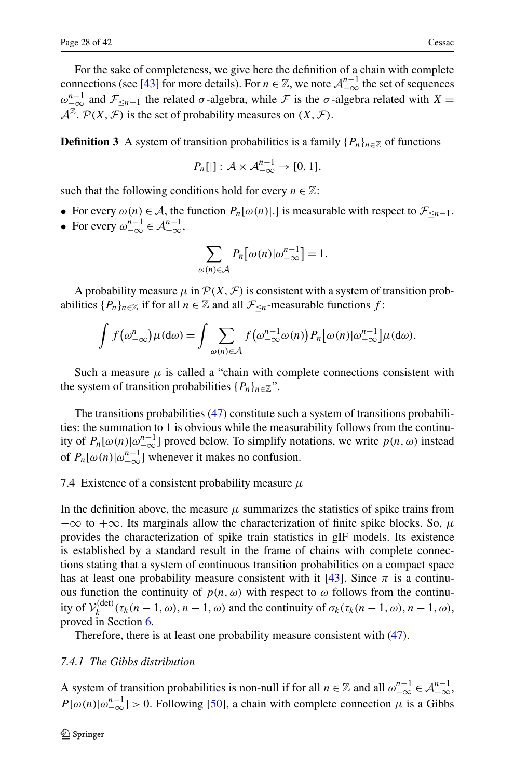For the sake of completeness, we give here the definition of a chain with complete connections (see [\[43](#page-40-12)] for more details). For  $n \in \mathbb{Z}$ , we note  $\mathcal{A}_{-\infty}^{n-1}$  the set of sequences  $ω_{-\infty}^{n-1}$  and  $\mathcal{F}_{\leq n-1}$  the related *σ* -algebra, while *F* is the *σ* -algebra related with *X* =  $\mathcal{A}^{\mathbb{Z}}$ .  $\mathcal{P}(X,\mathcal{F})$  is the set of probability measures on  $(X,\mathcal{F})$ .

**Definition 3** A system of transition probabilities is a family  $\{P_n\}_{n\in\mathbb{Z}}$  of functions

$$
P_n[|]: \mathcal{A} \times \mathcal{A}_{-\infty}^{n-1} \to [0,1],
$$

such that the following conditions hold for every  $n \in \mathbb{Z}$ :

- For every  $\omega(n) \in \mathcal{A}$ , the function  $P_n[\omega(n)]$ . is measurable with respect to  $\mathcal{F}_{\leq n-1}$ .
- For every  $\omega_{-\infty}^{n-1} \in \mathcal{A}_{-\infty}^{n-1}$ ,

$$
\sum_{\omega(n)\in\mathcal{A}} P_n\big[\omega(n)|\omega_{-\infty}^{n-1}\big] = 1.
$$

A probability measure  $\mu$  in  $\mathcal{P}(X,\mathcal{F})$  is consistent with a system of transition probabilities  ${P_n}_{n \in \mathbb{Z}}$  if for all  $n \in \mathbb{Z}$  and all  $\mathcal{F}_{\leq n}$ -measurable functions  $f$ :

$$
\int f(\omega_{-\infty}^n)\mu(\mathrm{d}\omega) = \int \sum_{\omega(n)\in\mathcal{A}} f(\omega_{-\infty}^{n-1}\omega(n)) P_n[\omega(n)|\omega_{-\infty}^{n-1}]\mu(\mathrm{d}\omega).
$$

Such a measure  $\mu$  is called a "chain with complete connections consistent with the system of transition probabilities  $\{P_n\}_{n\in\mathbb{Z}}$ ".

The transitions probabilities ([47\)](#page-25-0) constitute such a system of transitions probabilities: the summation to 1 is obvious while the measurability follows from the continuity of  $P_n[\omega(n)|\omega_{-\infty}^{n-1}]$  proved below. To simplify notations, we write  $p(n, \omega)$  instead of  $P_n[\omega(n)|\omega_{-\infty}^{n-1}]$  whenever it makes no confusion.

#### 7.4 Existence of a consistent probability measure *μ*

<span id="page-27-0"></span>In the definition above, the measure  $\mu$  summarizes the statistics of spike trains from  $-\infty$  to  $+\infty$ . Its marginals allow the characterization of finite spike blocks. So,  $\mu$ provides the characterization of spike train statistics in gIF models. Its existence is established by a standard result in the frame of chains with complete connections stating that a system of continuous transition probabilities on a compact space has at least one probability measure consistent with it  $[43]$ . Since  $\pi$  is a continuous function the continuity of  $p(n, \omega)$  with respect to  $\omega$  follows from the continuity of  $V_k^{(\text{det})}(\tau_k(n-1,\omega), n-1,\omega)$  and the continuity of  $\sigma_k(\tau_k(n-1,\omega), n-1,\omega)$ , proved in Section [6](#page-18-0).

Therefore, there is at least one probability measure consistent with ([47\)](#page-25-0).

#### *7.4.1 The Gibbs distribution*

A system of transition probabilities is non-null if for all  $n \in \mathbb{Z}$  and all  $\omega_{-\infty}^{n-1} \in \mathcal{A}_{-\infty}^{n-1}$ ,  $P[\omega(n)|\omega_{-\infty}^{n-1}] > 0$ . Following [\[50](#page-40-17)], a chain with complete connection  $\mu$  is a Gibbs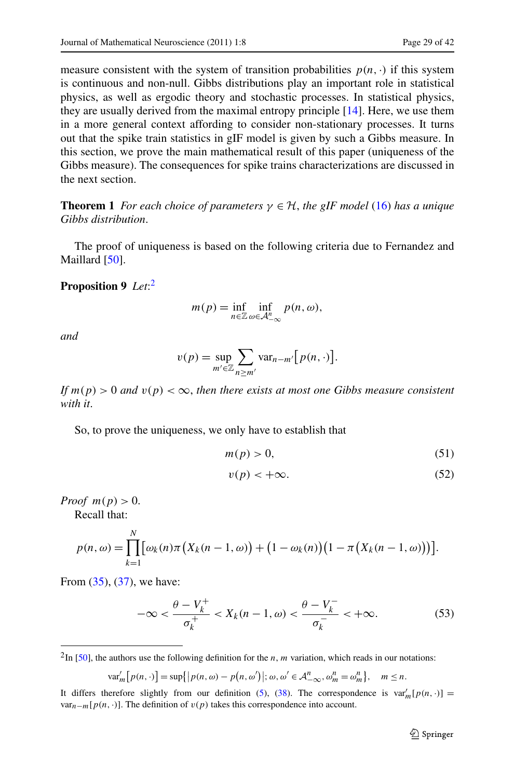measure consistent with the system of transition probabilities  $p(n, \cdot)$  if this system is continuous and non-null. Gibbs distributions play an important role in statistical physics, as well as ergodic theory and stochastic processes. In statistical physics, they are usually derived from the maximal entropy principle [\[14](#page-39-5)]. Here, we use them in a more general context affording to consider non-stationary processes. It turns out that the spike train statistics in gIF model is given by such a Gibbs measure. In this section, we prove the main mathematical result of this paper (uniqueness of the Gibbs measure). The consequences for spike trains characterizations are discussed in the next section.

**Theorem 1** *For each choice of parameters*  $\gamma \in \mathcal{H}$ , *the gIF model* [\(16](#page-11-2)) *has a unique Gibbs distribution*.

The proof of uniqueness is based on the following criteria due to Fernandez and Maillard [[50\]](#page-40-17).

## **Proposition 9** *Let*: [2](#page-28-0)

$$
m(p) = \inf_{n \in \mathbb{Z}} \inf_{\omega \in \mathcal{A}_{-\infty}^n} p(n, \omega),
$$

*and*

<span id="page-28-3"></span><span id="page-28-1"></span>
$$
v(p) = \sup_{m' \in \mathbb{Z}} \sum_{n \ge m'} \text{var}_{n-m'} [p(n, \cdot)].
$$

*If*  $m(p) > 0$  *and*  $v(p) < \infty$ , *then there exists at most one Gibbs measure consistent with it*.

So, to prove the uniqueness, we only have to establish that

$$
m(p) > 0,\tag{51}
$$

<span id="page-28-2"></span>
$$
v(p) < +\infty. \tag{52}
$$

*Proof*  $m(p) > 0$ .

Recall that:

$$
p(n,\omega) = \prod_{k=1}^{N} [\omega_k(n)\pi(X_k(n-1,\omega)) + (1 - \omega_k(n))(1 - \pi(X_k(n-1,\omega)))].
$$

<span id="page-28-0"></span>From [\(35](#page-16-2)), ([37\)](#page-17-0), we have:

$$
-\infty < \frac{\theta - V_k^+}{\sigma_k^+} < X_k(n-1, \omega) < \frac{\theta - V_k^-}{\sigma_k^-} < +\infty. \tag{53}
$$

$$
\text{var}'_m\big[p(n,\cdot)\big] = \sup\{|p(n,\omega) - p(n,\omega')|; \omega,\omega' \in \mathcal{A}_{-\infty}^n, \omega_m^n = \omega_m^n\}, \quad m \le n.
$$

<sup>&</sup>lt;sup>2</sup>In [[50\]](#page-40-17), the authors use the following definition for the *n*, *m* variation, which reads in our notations:

It differs therefore slightly from our definition ([5\)](#page-7-1), ([38\)](#page-18-1). The correspondence is  $var'_m[p(n, \cdot)] =$ var<sub>*n*−*m*[ $p(n, \cdot)$ ]. The definition of  $v(p)$  takes this correspondence into account.</sub>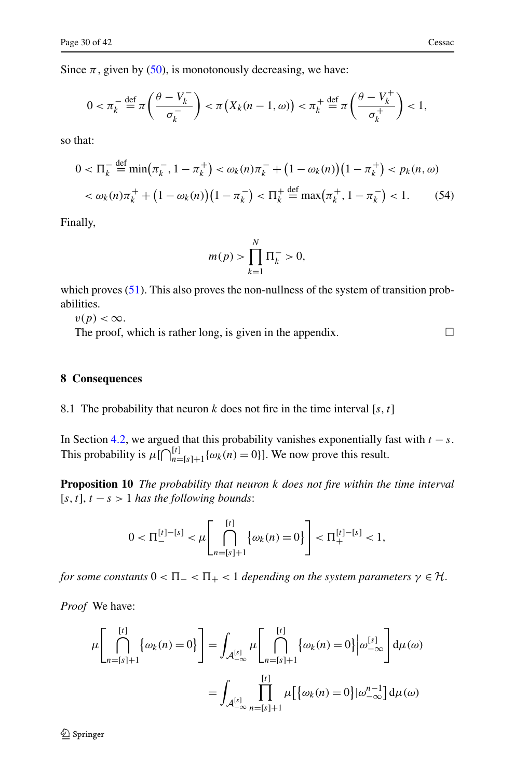<span id="page-29-2"></span>Since  $\pi$ , given by ([50\)](#page-26-1), is monotonously decreasing, we have:

$$
0 < \pi_k^{-} \stackrel{\text{def}}{=} \pi \left( \frac{\theta - V_k^{-}}{\sigma_k^{-}} \right) < \pi \left( X_k(n-1, \omega) \right) < \pi_k^{+} \stackrel{\text{def}}{=} \pi \left( \frac{\theta - V_k^{+}}{\sigma_k^{+}} \right) < 1,
$$

so that:

$$
0 < \Pi_k^{-} \stackrel{\text{def}}{=} \min(\pi_k^-, 1 - \pi_k^+) < \omega_k(n)\pi_k^- + (1 - \omega_k(n))(1 - \pi_k^+) < p_k(n, \omega) \\
& < \omega_k(n)\pi_k^+ + (1 - \omega_k(n))(1 - \pi_k^-) < \Pi_k^+ \stackrel{\text{def}}{=} \max(\pi_k^+, 1 - \pi_k^-) < 1. \tag{54}
$$

Finally,

$$
m(p) > \prod_{k=1}^{N} \Pi_k^{-} > 0,
$$

<span id="page-29-1"></span><span id="page-29-0"></span>which proves [\(51](#page-28-1)). This also proves the non-nullness of the system of transition probabilities.

 $v(p) < \infty$ .

The proof, which is rather long, is given in the appendix.  $\Box$ 

#### **8 Consequences**

8.1 The probability that neuron *k* does not fire in the time interval [*s,t*]

In Section [4.2](#page-15-6), we argued that this probability vanishes exponentially fast with  $t - s$ . This probability is  $\mu[\bigcap_{n=[s]+1}^{[t]} {\omega_k(n)} = 0]$ . We now prove this result.

**Proposition 10** *The probability that neuron k does not fire within the time interval*  $[s, t], t - s > 1$  *has the following bounds*:

$$
0 < \Pi_-^{[t]-[s]} < \mu \left[ \bigcap_{n=[s]+1}^{[t]} \left\{ \omega_k(n) = 0 \right\} \right] < \Pi_+^{[t]-[s]} < 1,
$$

*for some constants*  $0 < \Pi_{-} < \Pi_{+} < 1$  *depending on the system parameters*  $\gamma \in \mathcal{H}$ .

*Proof* We have:

$$
\mu\left[\bigcap_{n=[s]+1}^{[t]}\{\omega_k(n)=0\}\right] = \int_{\mathcal{A}_{-\infty}^{[s]}} \mu\left[\bigcap_{n=[s]+1}^{[t]}\{\omega_k(n)=0\}\middle|\omega_{-\infty}^{[s]}\right]d\mu(\omega)
$$

$$
= \int_{\mathcal{A}_{-\infty}^{[s]}} \prod_{n=[s]+1}^{[t]} \mu\left[\left\{\omega_k(n)=0\right\}\middle|\omega_{-\infty}^{n-1}\right]d\mu(\omega)
$$

 $\hat{Z}$  Springer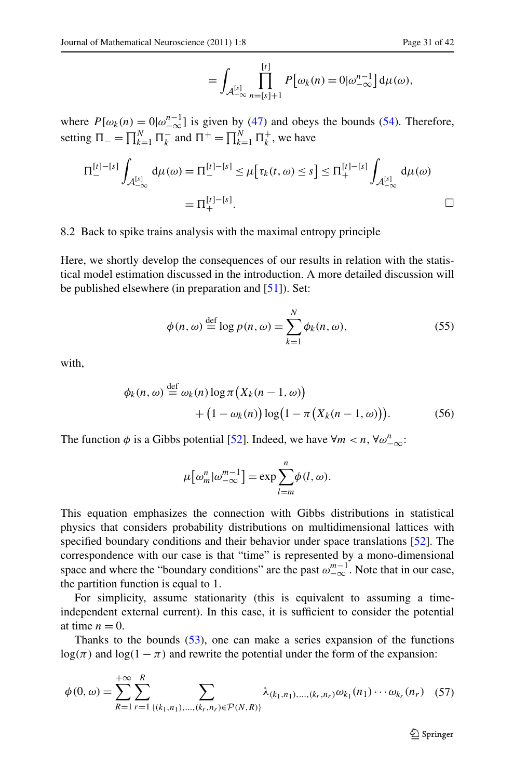$$
= \int_{\mathcal{A}_{-\infty}^{[s]}} \prod_{n=[s]+1}^{[t]} P\big[\omega_k(n) = 0 | \omega_{-\infty}^{n-1}\big] d\mu(\omega),
$$

where  $P[\omega_k(n) = 0 | \omega_{-\infty}^{n-1}]$  is given by [\(47](#page-25-0)) and obeys the bounds ([54\)](#page-29-2). Therefore, setting  $\Pi$ <sub>−</sub> =  $\prod_{k=1}^{N} \Pi_k^-$  and  $\Pi^+$  =  $\prod_{k=1}^{N} \Pi_k^+$ , we have

$$
\Pi_{-}^{[t]-[s]} \int_{\mathcal{A}_{-\infty}^{[s]}} d\mu(\omega) = \Pi_{-}^{[t]-[s]} \leq \mu \big[ \tau_k(t,\omega) \leq s \big] \leq \Pi_{+}^{[t]-[s]} \int_{\mathcal{A}_{-\infty}^{[s]}} d\mu(\omega)
$$

$$
= \Pi_{+}^{[t]-[s]}.
$$

#### 8.2 Back to spike trains analysis with the maximal entropy principle

Here, we shortly develop the consequences of our results in relation with the statistical model estimation discussed in the introduction. A more detailed discussion will be published elsewhere (in preparation and [[51\]](#page-40-18)). Set:

<span id="page-30-1"></span>
$$
\phi(n,\omega) \stackrel{\text{def}}{=} \log p(n,\omega) = \sum_{k=1}^{N} \phi_k(n,\omega),\tag{55}
$$

with,

$$
\phi_k(n,\omega) \stackrel{\text{def}}{=} \omega_k(n) \log \pi \big( X_k(n-1,\omega) \big) + \big( 1 - \omega_k(n) \big) \log \big( 1 - \pi \big( X_k(n-1,\omega) \big) \big).
$$
 (56)

The function  $\phi$  is a Gibbs potential [\[52](#page-40-19)]. Indeed, we have  $\forall m < n$ ,  $\forall \omega_{-\infty}^n$ :

$$
\mu\big[\omega_m^n|\omega_{-\infty}^{m-1}\big]=\exp\sum_{l=m}^n\phi(l,\omega).
$$

This equation emphasizes the connection with Gibbs distributions in statistical physics that considers probability distributions on multidimensional lattices with specified boundary conditions and their behavior under space translations [\[52](#page-40-19)]. The correspondence with our case is that "time" is represented by a mono-dimensional space and where the "boundary conditions" are the past  $\omega_{-\infty}^{m-1}$ . Note that in our case, the partition function is equal to 1.

For simplicity, assume stationarity (this is equivalent to assuming a timeindependent external current). In this case, it is sufficient to consider the potential at time  $n = 0$ .

Thanks to the bounds [\(53](#page-28-2)), one can make a series expansion of the functions  $log(\pi)$  and  $log(1 - \pi)$  and rewrite the potential under the form of the expansion:

$$
\phi(0,\omega) = \sum_{R=1}^{+\infty} \sum_{r=1}^{R} \sum_{\{(k_1,n_1),\dots,(k_r,n_r)\in\mathcal{P}(N,R)\}} \lambda_{(k_1,n_1),\dots,(k_r,n_r)} \omega_{k_1}(n_1) \cdots \omega_{k_r}(n_r) \quad (57)
$$

<span id="page-30-0"></span> $\mathcal{Q}$  Springer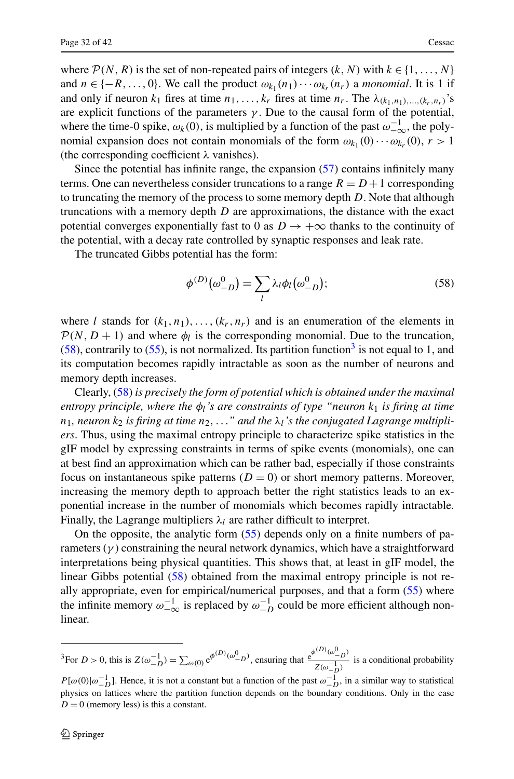where  $\mathcal{P}(N, R)$  is the set of non-repeated pairs of integers  $(k, N)$  with  $k \in \{1, \ldots, N\}$ and  $n \in \{-R, \ldots, 0\}$ . We call the product  $\omega_{k_1}(n_1) \cdots \omega_{k_r}(n_r)$  a *monomial*. It is 1 if and only if neuron  $k_1$  fires at time  $n_1, \ldots, k_r$  fires at time  $n_r$ . The  $\lambda_{(k_1,n_1),\ldots,(k_r,n_r)}$ 's are explicit functions of the parameters  $\gamma$ . Due to the causal form of the potential, where the time-0 spike,  $\omega_k(0)$ , is multiplied by a function of the past  $\omega_{-\infty}^{-1}$ , the polynomial expansion does not contain monomials of the form  $\omega_{k_1}(0) \cdots \omega_{k_r}(0)$ ,  $r > 1$ (the corresponding coefficient *λ* vanishes).

Since the potential has infinite range, the expansion [\(57](#page-30-0)) contains infinitely many terms. One can nevertheless consider truncations to a range  $R = D + 1$  corresponding to truncating the memory of the process to some memory depth *D*. Note that although truncations with a memory depth *D* are approximations, the distance with the exact potential converges exponentially fast to 0 as  $D \rightarrow +\infty$  thanks to the continuity of the potential, with a decay rate controlled by synaptic responses and leak rate.

The truncated Gibbs potential has the form:

<span id="page-31-0"></span>
$$
\phi^{(D)}\big(\omega_{-D}^0\big) = \sum_l \lambda_l \phi_l\big(\omega_{-D}^0\big); \tag{58}
$$

where *l* stands for  $(k_1, n_1), \ldots, (k_r, n_r)$  and is an enumeration of the elements in  $P(N, D + 1)$  and where  $\phi_l$  is the corresponding monomial. Due to the truncation, [\(58](#page-31-0)), contrarily to [\(55](#page-30-1)), is not normalized. Its partition function<sup>[3](#page-31-1)</sup> is not equal to 1, and its computation becomes rapidly intractable as soon as the number of neurons and memory depth increases.

Clearly, [\(58](#page-31-0)) *is precisely the form of potential which is obtained under the maximal entropy principle, where the*  $\phi_l$ 's are constraints of type "neuron  $k_1$  is firing at time  $n_1$ , neuron  $k_2$  *is firing at time*  $n_2, \ldots$ " and the  $\lambda_l$ 's the conjugated Lagrange multipli*ers*. Thus, using the maximal entropy principle to characterize spike statistics in the gIF model by expressing constraints in terms of spike events (monomials), one can at best find an approximation which can be rather bad, especially if those constraints focus on instantaneous spike patterns  $(D = 0)$  or short memory patterns. Moreover, increasing the memory depth to approach better the right statistics leads to an exponential increase in the number of monomials which becomes rapidly intractable. Finally, the Lagrange multipliers  $\lambda_l$  are rather difficult to interpret.

<span id="page-31-1"></span>On the opposite, the analytic form ([55\)](#page-30-1) depends only on a finite numbers of parameters  $(\gamma)$  constraining the neural network dynamics, which have a straightforward interpretations being physical quantities. This shows that, at least in gIF model, the linear Gibbs potential ([58\)](#page-31-0) obtained from the maximal entropy principle is not really appropriate, even for empirical/numerical purposes, and that a form [\(55](#page-30-1)) where the infinite memory  $\omega^{-1}_{-\infty}$  is replaced by  $\omega^{-1}_{-D}$  could be more efficient although nonlinear.

 ${}^{3}$ For *D* > 0, this is  $Z(\omega_{-D}^{-1}) = \sum_{\omega(0)} e^{\phi^{(D)}(\omega_{-D}^{0})}$ , ensuring that  $\frac{e^{\phi^{(D)}(\omega_{-D}^{0})}}{Z(\omega_{-D}^{-1})}$  $\frac{-b}{Z(\omega - b)}$  is a conditional probability  $P[\omega(0)|\omega_{-D}^{-1}]$ . Hence, it is not a constant but a function of the past  $\omega_{-D}^{-1}$ , in a similar way to statistical physics on lattices where the partition function depends on the boundary conditions. Only in the case  $D = 0$  (memory less) is this a constant.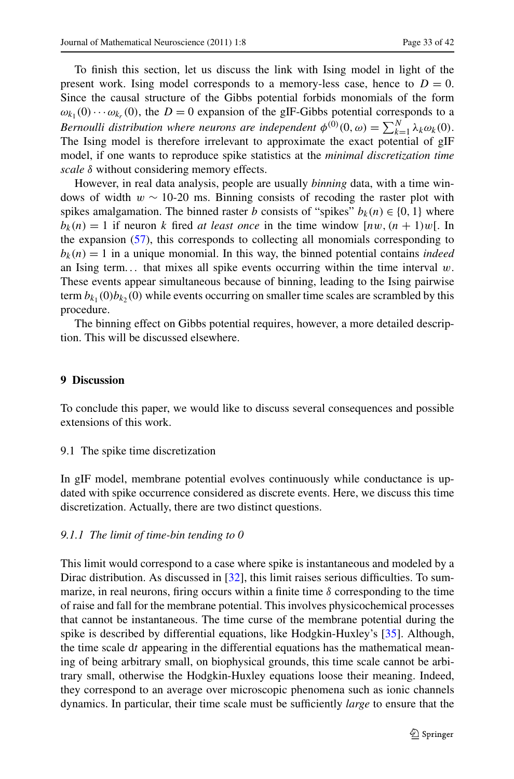To finish this section, let us discuss the link with Ising model in light of the present work. Ising model corresponds to a memory-less case, hence to  $D = 0$ . Since the causal structure of the Gibbs potential forbids monomials of the form  $\omega_{k_1}(0) \cdots \omega_{k_r}(0)$ , the  $D = 0$  expansion of the gIF-Gibbs potential corresponds to a *Bernoulli distribution where neurons are independent*  $\phi^{(0)}(0,\omega) = \sum_{k=1}^{N} \lambda_k \omega_k(0)$ . The Ising model is therefore irrelevant to approximate the exact potential of gIF model, if one wants to reproduce spike statistics at the *minimal discretization time scale δ* without considering memory effects.

However, in real data analysis, people are usually *binning* data, with a time windows of width *w* ∼ 10-20 ms. Binning consists of recoding the raster plot with spikes amalgamation. The binned raster *b* consists of "spikes"  $b_k(n) \in \{0, 1\}$  where  $b_k(n) = 1$  if neuron *k* fired *at least once* in the time window  $[nw, (n + 1)w]$ . In the expansion ([57\)](#page-30-0), this corresponds to collecting all monomials corresponding to  $b_k(n) = 1$  in a unique monomial. In this way, the binned potential contains *indeed* an Ising term... that mixes all spike events occurring within the time interval  $w$ . These events appear simultaneous because of binning, leading to the Ising pairwise term  $b_{k_1}(0)b_{k_2}(0)$  while events occurring on smaller time scales are scrambled by this procedure.

<span id="page-32-0"></span>The binning effect on Gibbs potential requires, however, a more detailed description. This will be discussed elsewhere.

## **9 Discussion**

To conclude this paper, we would like to discuss several consequences and possible extensions of this work.

#### 9.1 The spike time discretization

In gIF model, membrane potential evolves continuously while conductance is updated with spike occurrence considered as discrete events. Here, we discuss this time discretization. Actually, there are two distinct questions.

## *9.1.1 The limit of time-bin tending to 0*

This limit would correspond to a case where spike is instantaneous and modeled by a Dirac distribution. As discussed in [\[32](#page-39-20)], this limit raises serious difficulties. To summarize, in real neurons, firing occurs within a finite time  $\delta$  corresponding to the time of raise and fall for the membrane potential. This involves physicochemical processes that cannot be instantaneous. The time curse of the membrane potential during the spike is described by differential equations, like Hodgkin-Huxley's [\[35](#page-40-2)]. Although, the time scale d*t* appearing in the differential equations has the mathematical meaning of being arbitrary small, on biophysical grounds, this time scale cannot be arbitrary small, otherwise the Hodgkin-Huxley equations loose their meaning. Indeed, they correspond to an average over microscopic phenomena such as ionic channels dynamics. In particular, their time scale must be sufficiently *large* to ensure that the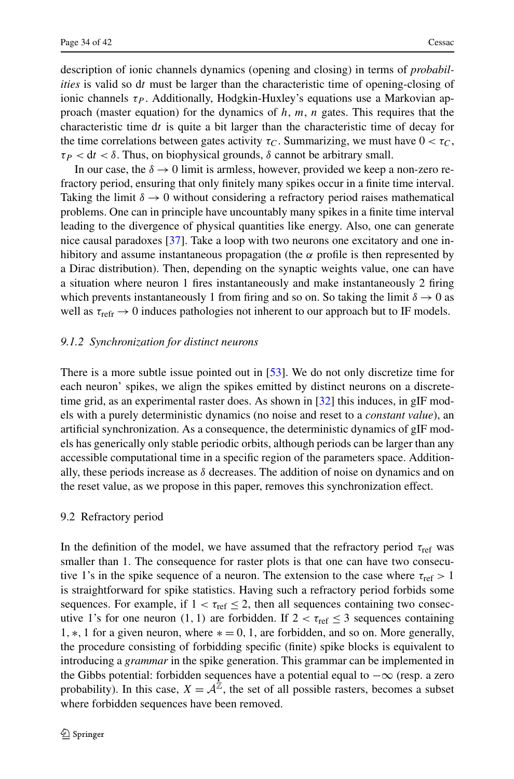description of ionic channels dynamics (opening and closing) in terms of *probabilities* is valid so d*t* must be larger than the characteristic time of opening-closing of ionic channels  $\tau_P$ . Additionally, Hodgkin-Huxley's equations use a Markovian approach (master equation) for the dynamics of *h*, *m*, *n* gates. This requires that the characteristic time d*t* is quite a bit larger than the characteristic time of decay for the time correlations between gates activity  $\tau_C$ . Summarizing, we must have  $0 < \tau_C$ ,  $\tau_P < dt < \delta$ . Thus, on biophysical grounds,  $\delta$  cannot be arbitrary small.

In our case, the  $\delta \rightarrow 0$  limit is armless, however, provided we keep a non-zero refractory period, ensuring that only finitely many spikes occur in a finite time interval. Taking the limit  $\delta \rightarrow 0$  without considering a refractory period raises mathematical problems. One can in principle have uncountably many spikes in a finite time interval leading to the divergence of physical quantities like energy. Also, one can generate nice causal paradoxes [[37\]](#page-40-8). Take a loop with two neurons one excitatory and one inhibitory and assume instantaneous propagation (the  $\alpha$  profile is then represented by a Dirac distribution). Then, depending on the synaptic weights value, one can have a situation where neuron 1 fires instantaneously and make instantaneously 2 firing which prevents instantaneously 1 from firing and so on. So taking the limit  $\delta \rightarrow 0$  as well as  $\tau_{refr} \rightarrow 0$  induces pathologies not inherent to our approach but to IF models.

#### *9.1.2 Synchronization for distinct neurons*

<span id="page-33-0"></span>There is a more subtle issue pointed out in [[53\]](#page-40-20). We do not only discretize time for each neuron' spikes, we align the spikes emitted by distinct neurons on a discretetime grid, as an experimental raster does. As shown in [\[32\]](#page-39-20) this induces, in gIF models with a purely deterministic dynamics (no noise and reset to a *constant value*), an artificial synchronization. As a consequence, the deterministic dynamics of gIF models has generically only stable periodic orbits, although periods can be larger than any accessible computational time in a specific region of the parameters space. Additionally, these periods increase as *δ* decreases. The addition of noise on dynamics and on the reset value, as we propose in this paper, removes this synchronization effect.

#### 9.2 Refractory period

In the definition of the model, we have assumed that the refractory period  $\tau_{\text{ref}}$  was smaller than 1. The consequence for raster plots is that one can have two consecutive 1's in the spike sequence of a neuron. The extension to the case where *τ*ref *>* 1 is straightforward for spike statistics. Having such a refractory period forbids some sequences. For example, if  $1 < \tau_{ref} \leq 2$ , then all sequences containing two consecutive 1's for one neuron (1, 1) are forbidden. If  $2 < \tau_{\text{ref}} \leq 3$  sequences containing 1*,* ∗*,* 1 for a given neuron, where ∗ = 0*,* 1, are forbidden, and so on. More generally, the procedure consisting of forbidding specific (finite) spike blocks is equivalent to introducing a *grammar* in the spike generation. This grammar can be implemented in the Gibbs potential: forbidden sequences have a potential equal to −∞ (resp. a zero probability). In this case,  $X = A^{\mathbb{Z}}$ , the set of all possible rasters, becomes a subset where forbidden sequences have been removed.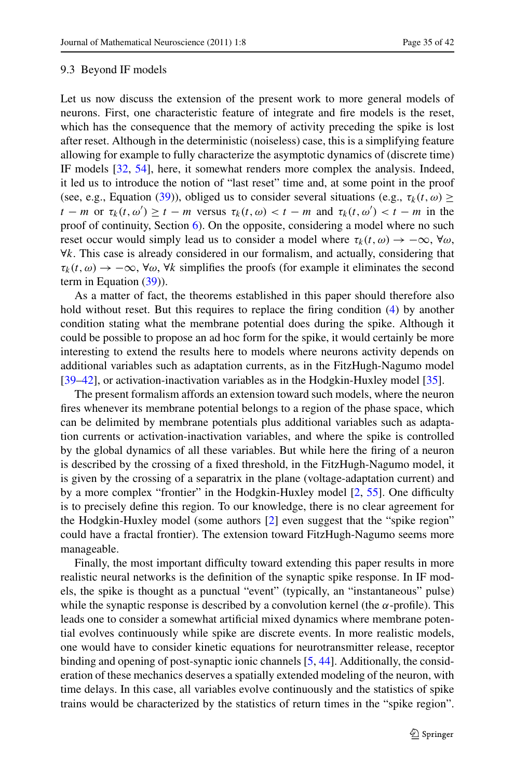#### <span id="page-34-0"></span>9.3 Beyond IF models

Let us now discuss the extension of the present work to more general models of neurons. First, one characteristic feature of integrate and fire models is the reset, which has the consequence that the memory of activity preceding the spike is lost after reset. Although in the deterministic (noiseless) case, this is a simplifying feature allowing for example to fully characterize the asymptotic dynamics of (discrete time) IF models [[32,](#page-39-20) [54\]](#page-40-21), here, it somewhat renders more complex the analysis. Indeed, it led us to introduce the notion of "last reset" time and, at some point in the proof (see, e.g., Equation [\(39](#page-21-0))), obliged us to consider several situations (e.g.,  $\tau_k(t, \omega)$ ) *t* − *m* or  $τ_k(t, ω') ≥ t - m$  versus  $τ_k(t, ω) < t - m$  and  $τ_k(t, ω') < t - m$  in the proof of continuity, Section [6\)](#page-18-0). On the opposite, considering a model where no such reset occur would simply lead us to consider a model where  $\tau_k(t, \omega) \to -\infty$ ,  $\forall \omega$ , ∀*k*. This case is already considered in our formalism, and actually, considering that  $\tau_k(t, \omega) \to -\infty$ ,  $\forall \omega$ ,  $\forall k$  simplifies the proofs (for example it eliminates the second term in Equation ([39\)](#page-21-0)).

As a matter of fact, the theorems established in this paper should therefore also hold without reset. But this requires to replace the firing condition [\(4](#page-6-0)) by another condition stating what the membrane potential does during the spike. Although it could be possible to propose an ad hoc form for the spike, it would certainly be more interesting to extend the results here to models where neurons activity depends on additional variables such as adaptation currents, as in the FitzHugh-Nagumo model [\[39](#page-40-10)[–42](#page-40-11)], or activation-inactivation variables as in the Hodgkin-Huxley model [[35\]](#page-40-2).

The present formalism affords an extension toward such models, where the neuron fires whenever its membrane potential belongs to a region of the phase space, which can be delimited by membrane potentials plus additional variables such as adaptation currents or activation-inactivation variables, and where the spike is controlled by the global dynamics of all these variables. But while here the firing of a neuron is described by the crossing of a fixed threshold, in the FitzHugh-Nagumo model, it is given by the crossing of a separatrix in the plane (voltage-adaptation current) and by a more complex "frontier" in the Hodgkin-Huxley model [\[2](#page-38-1), [55\]](#page-40-5). One difficulty is to precisely define this region. To our knowledge, there is no clear agreement for the Hodgkin-Huxley model (some authors [[2\]](#page-38-1) even suggest that the "spike region" could have a fractal frontier). The extension toward FitzHugh-Nagumo seems more manageable.

Finally, the most important difficulty toward extending this paper results in more realistic neural networks is the definition of the synaptic spike response. In IF models, the spike is thought as a punctual "event" (typically, an "instantaneous" pulse) while the synaptic response is described by a convolution kernel (the  $\alpha$ -profile). This leads one to consider a somewhat artificial mixed dynamics where membrane potential evolves continuously while spike are discrete events. In more realistic models, one would have to consider kinetic equations for neurotransmitter release, receptor binding and opening of post-synaptic ionic channels [\[5](#page-38-4), [44\]](#page-40-13). Additionally, the consideration of these mechanics deserves a spatially extended modeling of the neuron, with time delays. In this case, all variables evolve continuously and the statistics of spike trains would be characterized by the statistics of return times in the "spike region".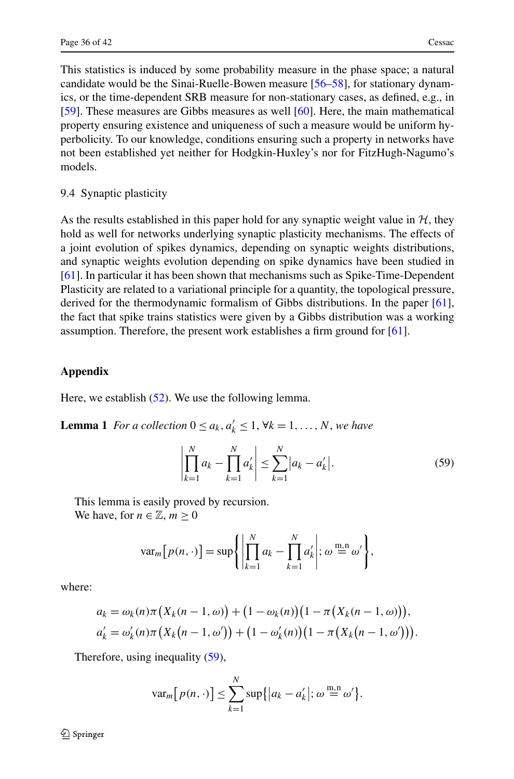<span id="page-35-0"></span>This statistics is induced by some probability measure in the phase space; a natural candidate would be the Sinai-Ruelle-Bowen measure [[56–](#page-40-22)[58\]](#page-40-23), for stationary dynamics, or the time-dependent SRB measure for non-stationary cases, as defined, e.g., in [\[59](#page-40-24)]. These measures are Gibbs measures as well [[60\]](#page-40-25). Here, the main mathematical property ensuring existence and uniqueness of such a measure would be uniform hyperbolicity. To our knowledge, conditions ensuring such a property in networks have not been established yet neither for Hodgkin-Huxley's nor for FitzHugh-Nagumo's models.

9.4 Synaptic plasticity

As the results established in this paper hold for any synaptic weight value in  $H$ , they hold as well for networks underlying synaptic plasticity mechanisms. The effects of a joint evolution of spikes dynamics, depending on synaptic weights distributions, and synaptic weights evolution depending on spike dynamics have been studied in [\[61](#page-40-26)]. In particular it has been shown that mechanisms such as Spike-Time-Dependent Plasticity are related to a variational principle for a quantity, the topological pressure, derived for the thermodynamic formalism of Gibbs distributions. In the paper [[61\]](#page-40-26), the fact that spike trains statistics were given by a Gibbs distribution was a working assumption. Therefore, the present work establishes a firm ground for [\[61\]](#page-40-26).

## **Appendix**

Here, we establish  $(52)$  $(52)$ . We use the following lemma.

**Lemma 1** *For a collection*  $0 \le a_k, a'_k \le 1, \forall k = 1, \ldots, N$ , we have

<span id="page-35-1"></span>
$$
\left| \prod_{k=1}^{N} a_k - \prod_{k=1}^{N} a'_k \right| \le \sum_{k=1}^{N} |a_k - a'_k|.
$$
 (59)

This lemma is easily proved by recursion. We have, for  $n \in \mathbb{Z}$ ,  $m > 0$ 

$$
\text{var}_{m}\big[p(n,\cdot)\big]=\sup\left\{\left|\prod_{k=1}^{N} a_{k}-\prod_{k=1}^{N} a_{k}'\right|; \omega \stackrel{\text{m.n}}{=} \omega'\right\},\
$$

where:

$$
a_k = \omega_k(n)\pi(X_k(n-1,\omega)) + (1 - \omega_k(n))(1 - \pi(X_k(n-1,\omega))),
$$
  
\n
$$
a'_k = \omega'_k(n)\pi(X_k(n-1,\omega')) + (1 - \omega'_k(n))(1 - \pi(X_k(n-1,\omega'))).
$$

Therefore, using inequality ([59\)](#page-35-1),

$$
\operatorname{var}_{m}\big[p(n,\cdot)\big] \leq \sum_{k=1}^{N} \sup\big\{|a_{k}-a'_{k}|; \omega \stackrel{\text{m,n}}{=} \omega'\big\}.
$$

Springer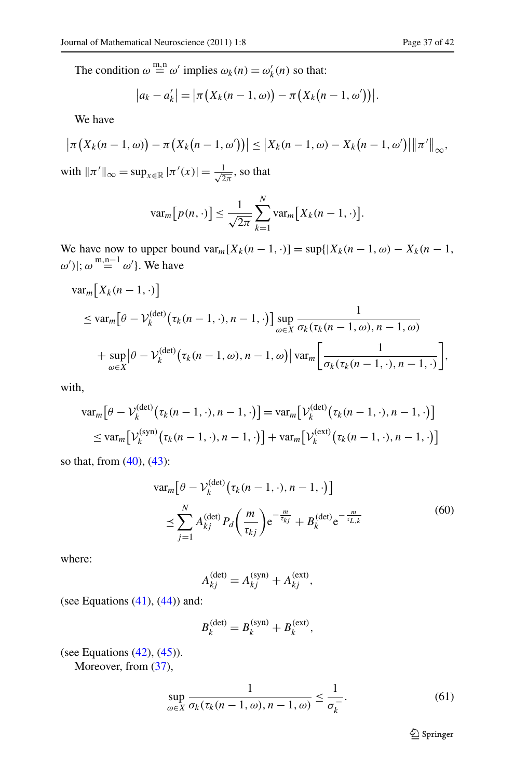The condition  $\omega \stackrel{\text{m,n}}{=} \omega'$  implies  $\omega_k(n) = \omega'_k(n)$  so that:

$$
|a_k - a'_k| = |\pi(X_k(n - 1, \omega)) - \pi(X_k(n - 1, \omega'))|.
$$

We have

$$
\left|\pi\big(X_k(n-1,\omega)\big)-\pi\big(X_k(n-1,\omega')\big)\right|\leq \left|X_k(n-1,\omega)-X_k(n-1,\omega')\right|\left|\pi'\right|\right|_{\infty},
$$

with  $\|\pi'\|_{\infty} = \sup_{x \in \mathbb{R}} |\pi'(x)| = \frac{1}{\sqrt{2\pi}}$ , so that

$$
\text{var}_{m}\big[p(n,\cdot)\big] \leq \frac{1}{\sqrt{2\pi}} \sum_{k=1}^{N} \text{var}_{m}\big[X_{k}(n-1,\cdot)\big].
$$

We have now to upper bound var<sub>m</sub>[ $X_k(n - 1, \cdot)$ ] = sup{ $|X_k(n - 1, \omega) - X_k(n - 1, \cdot)|$  $\omega'$ )|;  $\omega \stackrel{\text{m,n-1}}{=} \omega'$ }. We have

$$
\operatorname{var}_{m} \left[ X_{k}(n-1, \cdot) \right]
$$
\n
$$
\leq \operatorname{var}_{m} \left[ \theta - \mathcal{V}_{k}^{(\det)} \left( \tau_{k}(n-1, \cdot), n-1, \cdot \right) \right] \sup_{\omega \in X} \frac{1}{\sigma_{k}(\tau_{k}(n-1, \omega), n-1, \omega)}
$$
\n
$$
+ \sup_{\omega \in X} \left| \theta - \mathcal{V}_{k}^{(\det)} \left( \tau_{k}(n-1, \omega), n-1, \omega \right) \right| \operatorname{var}_{m} \left[ \frac{1}{\sigma_{k}(\tau_{k}(n-1, \cdot), n-1, \cdot)} \right],
$$

with,

$$
\operatorname{var}_{m}[\theta - \mathcal{V}_{k}^{(\det)}(\tau_{k}(n-1,\cdot),n-1,\cdot)] = \operatorname{var}_{m}[\mathcal{V}_{k}^{(\det)}(\tau_{k}(n-1,\cdot),n-1,\cdot)]
$$
  

$$
\leq \operatorname{var}_{m}[\mathcal{V}_{k}^{(\operatorname{syn})}(\tau_{k}(n-1,\cdot),n-1,\cdot)] + \operatorname{var}_{m}[\mathcal{V}_{k}^{(\operatorname{ext})}(\tau_{k}(n-1,\cdot),n-1,\cdot)]
$$

so that, from  $(40)$  $(40)$ ,  $(43)$  $(43)$ :

<span id="page-36-0"></span>
$$
\operatorname{var}_{m} \left[ \theta - \mathcal{V}_{k}^{(\det)} \left( \tau_{k} (n - 1, \cdot), n - 1, \cdot \right) \right]
$$
  

$$
\leq \sum_{j=1}^{N} A_{kj}^{(\det)} P_{d} \left( \frac{m}{\tau_{kj}} \right) e^{-\frac{m}{\tau_{kj}}} + B_{k}^{(\det)} e^{-\frac{m}{\tau_{L,k}}} \tag{60}
$$

where:

$$
A_{kj}^{(\text{det})} = A_{kj}^{(\text{syn})} + A_{kj}^{(\text{ext})},
$$

(see Equations  $(41)$ ,  $(44)$  $(44)$ ) and:

$$
B_k^{\text{(det)}} = B_k^{\text{(syn)}} + B_k^{\text{(ext)}},
$$

(see Equations  $(42)$ ,  $(45)$  $(45)$ ).

Moreover, from  $(37)$  $(37)$ ,

$$
\sup_{\omega \in X} \frac{1}{\sigma_k(\tau_k(n-1,\omega), n-1,\omega)} \le \frac{1}{\sigma_k^-}.\tag{61}
$$

<span id="page-36-1"></span>2 Springer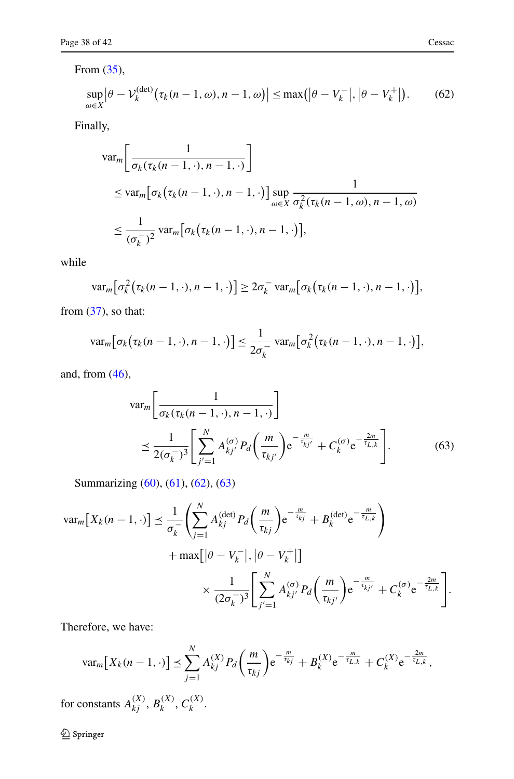From [\(35](#page-16-2)),

<span id="page-37-0"></span>
$$
\sup_{\omega \in X} \left| \theta - \mathcal{V}_k^{(\det)} \big( \tau_k (n-1, \omega), n-1, \omega \big) \right| \le \max \left( \left| \theta - V_k^- \right|, \left| \theta - V_k^+ \right| \right). \tag{62}
$$

Finally,

$$
\operatorname{var}_{m} \left[ \frac{1}{\sigma_{k}(\tau_{k}(n-1,\cdot), n-1,\cdot)} \right]
$$
\n
$$
\leq \operatorname{var}_{m} \left[ \sigma_{k}(\tau_{k}(n-1,\cdot), n-1,\cdot) \right] \sup_{\omega \in X} \frac{1}{\sigma_{k}^{2}(\tau_{k}(n-1,\omega), n-1,\omega)}
$$
\n
$$
\leq \frac{1}{(\sigma_{k}^{-})^{2}} \operatorname{var}_{m} \left[ \sigma_{k}(\tau_{k}(n-1,\cdot), n-1,\cdot) \right],
$$

while

$$
\text{var}_{m}\big[\sigma_k^2\big(\tau_k(n-1,\cdot),n-1,\cdot\big)\big]\geq 2\sigma_k^-\text{var}_{m}\big[\sigma_k\big(\tau_k(n-1,\cdot),n-1,\cdot\big)\big],
$$

<span id="page-37-1"></span>from  $(37)$  $(37)$ , so that:

$$
\text{var}_{m}\big[\sigma_{k}\big(\tau_{k}(n-1,\cdot),n-1,\cdot\big)\big]\leq\frac{1}{2\sigma_{k}^{-}}\text{var}_{m}\big[\sigma_{k}^{2}\big(\tau_{k}(n-1,\cdot),n-1,\cdot\big)\big],
$$

and, from [\(46](#page-24-1)),

$$
\operatorname{var}_{m} \left[ \frac{1}{\sigma_{k} (\tau_{k} (n - 1, \cdot), n - 1, \cdot)} \right] \leq \frac{1}{2(\sigma_{k}^{-})^{3}} \left[ \sum_{j'=1}^{N} A_{kj'}^{(\sigma)} P_{d} \left( \frac{m}{\tau_{kj'}} \right) e^{-\frac{m}{\tau_{kj'}}} + C_{k}^{(\sigma)} e^{-\frac{2m}{\tau_{L,k}}} \right].
$$
 (63)

Summarizing [\(60](#page-36-0)), ([61\)](#page-36-1), [\(62](#page-37-0)), ([63\)](#page-37-1)

$$
\operatorname{var}_{m}\left[X_{k}(n-1,\cdot)\right] \leq \frac{1}{\sigma_{k}^{-}} \left(\sum_{j=1}^{N} A_{kj}^{(\text{det})} P_{d}\left(\frac{m}{\tau_{kj}}\right) e^{-\frac{m}{\tau_{kj}}} + B_{k}^{(\text{det})} e^{-\frac{m}{\tau_{L,k}}}\right) + \max\left[|\theta - V_{k}^{-}|, |\theta - V_{k}^{+}|\right] \times \frac{1}{(2\sigma_{k}^{-})^{3}} \left[\sum_{j'=1}^{N} A_{kj'}^{(\sigma)} P_{d}\left(\frac{m}{\tau_{kj'}}\right) e^{-\frac{m}{\tau_{kj'}}} + C_{k}^{(\sigma)} e^{-\frac{2m}{\tau_{L,k}}} \right].
$$

Therefore, we have:

$$
\text{var}_{m}\big[X_{k}(n-1,\cdot)\big] \leq \sum_{j=1}^{N} A_{kj}^{(X)} P_{d}\bigg(\frac{m}{\tau_{kj}}\bigg) e^{-\frac{m}{\tau_{kj}}} + B_{k}^{(X)} e^{-\frac{m}{\tau_{L,k}}} + C_{k}^{(X)} e^{-\frac{2m}{\tau_{L,k}}},
$$

for constants  $A_{kj}^{(X)}$ ,  $B_k^{(X)}$ ,  $C_k^{(X)}$ .

**◯** Springer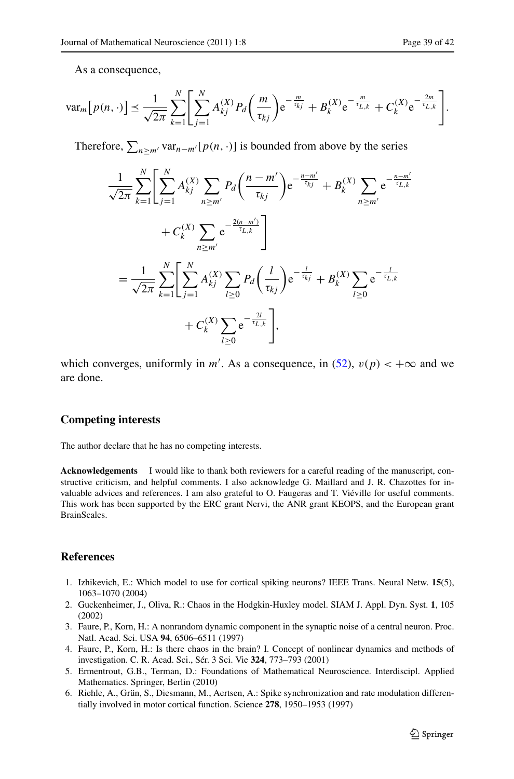As a consequence,

$$
\text{var}_{m}\big[p(n,\cdot)\big] \leq \frac{1}{\sqrt{2\pi}} \sum_{k=1}^{N} \Biggl[ \sum_{j=1}^{N} A_{kj}^{(X)} P_d \bigg(\frac{m}{\tau_{kj}}\bigg) e^{-\frac{m}{\tau_{kj}}} + B_{k}^{(X)} e^{-\frac{m}{\tau_{L,k}}} + C_{k}^{(X)} e^{-\frac{2m}{\tau_{L,k}}} \Biggr].
$$

Therefore,  $\sum_{n \ge m'} \text{var}_{n-m'}[p(n, \cdot)]$  is bounded from above by the series

$$
\frac{1}{\sqrt{2\pi}} \sum_{k=1}^{N} \left[ \sum_{j=1}^{N} A_{kj}^{(X)} \sum_{n \ge m'} P_d \left( \frac{n - m'}{\tau_{kj}} \right) e^{-\frac{n - m'}{\tau_{kj}}} + B_k^{(X)} \sum_{n \ge m'} e^{-\frac{n - m'}{\tau_{L,k}}} \n+ C_k^{(X)} \sum_{n \ge m'} e^{-\frac{2(n - m')}{\tau_{L,k}}} \right] \n= \frac{1}{\sqrt{2\pi}} \sum_{k=1}^{N} \left[ \sum_{j=1}^{N} A_{kj}^{(X)} \sum_{l \ge 0} P_d \left( \frac{l}{\tau_{kj}} \right) e^{-\frac{l}{\tau_{kj}}} + B_k^{(X)} \sum_{l \ge 0} e^{-\frac{l}{\tau_{L,k}}} \n+ C_k^{(X)} \sum_{l \ge 0} e^{-\frac{2l}{\tau_{L,k}}} \right],
$$

which converges, uniformly in  $m'$ . As a consequence, in [\(52](#page-28-3)),  $v(p) < +\infty$  and we are done.

#### **Competing interests**

The author declare that he has no competing interests.

<span id="page-38-1"></span><span id="page-38-0"></span>**Acknowledgements** I would like to thank both reviewers for a careful reading of the manuscript, constructive criticism, and helpful comments. I also acknowledge G. Maillard and J. R. Chazottes for invaluable advices and references. I am also grateful to O. Faugeras and T. Viéville for useful comments. This work has been supported by the ERC grant Nervi, the ANR grant KEOPS, and the European grant BrainScales.

#### <span id="page-38-4"></span><span id="page-38-3"></span><span id="page-38-2"></span>**References**

- <span id="page-38-5"></span>1. Izhikevich, E.: Which model to use for cortical spiking neurons? IEEE Trans. Neural Netw. **15**(5), 1063–1070 (2004)
- 2. Guckenheimer, J., Oliva, R.: Chaos in the Hodgkin-Huxley model. SIAM J. Appl. Dyn. Syst. **1**, 105 (2002)
- 3. Faure, P., Korn, H.: A nonrandom dynamic component in the synaptic noise of a central neuron. Proc. Natl. Acad. Sci. USA **94**, 6506–6511 (1997)
- 4. Faure, P., Korn, H.: Is there chaos in the brain? I. Concept of nonlinear dynamics and methods of investigation. C. R. Acad. Sci., Sér. 3 Sci. Vie **324**, 773–793 (2001)
- 5. Ermentrout, G.B., Terman, D.: Foundations of Mathematical Neuroscience. Interdiscipl. Applied Mathematics. Springer, Berlin (2010)
- 6. Riehle, A., Grün, S., Diesmann, M., Aertsen, A.: Spike synchronization and rate modulation differentially involved in motor cortical function. Science **278**, 1950–1953 (1997)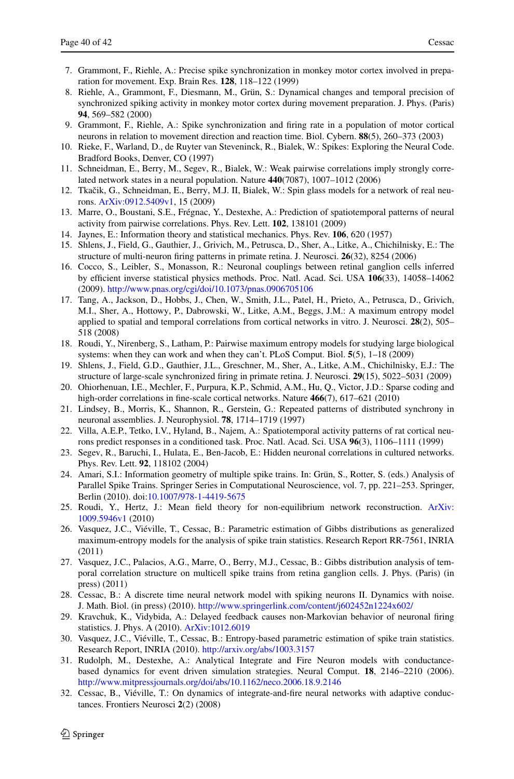- <span id="page-39-3"></span><span id="page-39-2"></span><span id="page-39-1"></span><span id="page-39-0"></span>7. Grammont, F., Riehle, A.: Precise spike synchronization in monkey motor cortex involved in preparation for movement. Exp. Brain Res. **128**, 118–122 (1999)
- <span id="page-39-4"></span>8. Riehle, A., Grammont, F., Diesmann, M., Grün, S.: Dynamical changes and temporal precision of synchronized spiking activity in monkey motor cortex during movement preparation. J. Phys. (Paris) **94**, 569–582 (2000)
- <span id="page-39-5"></span>9. Grammont, F., Riehle, A.: Spike synchronization and firing rate in a population of motor cortical neurons in relation to movement direction and reaction time. Biol. Cybern. **88**(5), 260–373 (2003)
- <span id="page-39-6"></span>10. Rieke, F., Warland, D., de Ruyter van Steveninck, R., Bialek, W.: Spikes: Exploring the Neural Code. Bradford Books, Denver, CO (1997)
- 11. Schneidman, E., Berry, M., Segev, R., Bialek, W.: Weak pairwise correlations imply strongly correlated network states in a neural population. Nature **440**(7087), 1007–1012 (2006)
- <span id="page-39-7"></span>12. Tkačik, G., Schneidman, E., Berry, M.J. II, Bialek, W.: Spin glass models for a network of real neurons. [ArXiv:0912.5409v1,](http://arxiv.org/abs/0912.5409v1) 15 (2009)
- 13. Marre, O., Boustani, S.E., Frégnac, Y., Destexhe, A.: Prediction of spatiotemporal patterns of neural activity from pairwise correlations. Phys. Rev. Lett. **102**, 138101 (2009)
- <span id="page-39-8"></span>14. Jaynes, E.: Information theory and statistical mechanics. Phys. Rev. **106**, 620 (1957)
- 15. Shlens, J., Field, G., Gauthier, J., Grivich, M., Petrusca, D., Sher, A., Litke, A., Chichilnisky, E.: The structure of multi-neuron firing patterns in primate retina. J. Neurosci. **26**(32), 8254 (2006)
- <span id="page-39-9"></span>16. Cocco, S., Leibler, S., Monasson, R.: Neuronal couplings between retinal ganglion cells inferred by efficient inverse statistical physics methods. Proc. Natl. Acad. Sci. USA **106**(33), 14058–14062 (2009). <http://www.pnas.org/cgi/doi/10.1073/pnas.0906705106>
- <span id="page-39-10"></span>17. Tang, A., Jackson, D., Hobbs, J., Chen, W., Smith, J.L., Patel, H., Prieto, A., Petrusca, D., Grivich, M.I., Sher, A., Hottowy, P., Dabrowski, W., Litke, A.M., Beggs, J.M.: A maximum entropy model applied to spatial and temporal correlations from cortical networks in vitro. J. Neurosci. **28**(2), 505– 518 (2008)
- <span id="page-39-11"></span>18. Roudi, Y., Nirenberg, S., Latham, P.: Pairwise maximum entropy models for studying large biological systems: when they can work and when they can't. PLoS Comput. Biol. **5**(5), 1–18 (2009)
- <span id="page-39-12"></span>19. Shlens, J., Field, G.D., Gauthier, J.L., Greschner, M., Sher, A., Litke, A.M., Chichilnisky, E.J.: The structure of large-scale synchronized firing in primate retina. J. Neurosci. **29**(15), 5022–5031 (2009)
- 20. Ohiorhenuan, I.E., Mechler, F., Purpura, K.P., Schmid, A.M., Hu, Q., Victor, J.D.: Sparse coding and high-order correlations in fine-scale cortical networks. Nature **466**(7), 617–621 (2010)
- <span id="page-39-14"></span><span id="page-39-13"></span>21. Lindsey, B., Morris, K., Shannon, R., Gerstein, G.: Repeated patterns of distributed synchrony in neuronal assemblies. J. Neurophysiol. **78**, 1714–1719 (1997)
- 22. Villa, A.E.P., Tetko, I.V., Hyland, B., Najem, A.: Spatiotemporal activity patterns of rat cortical neurons predict responses in a conditioned task. Proc. Natl. Acad. Sci. USA **96**(3), 1106–1111 (1999)
- <span id="page-39-15"></span>23. Segev, R., Baruchi, I., Hulata, E., Ben-Jacob, E.: Hidden neuronal correlations in cultured networks. Phys. Rev. Lett. **92**, 118102 (2004)
- <span id="page-39-16"></span>24. Amari, S.I.: Information geometry of multiple spike trains. In: Grün, S., Rotter, S. (eds.) Analysis of Parallel Spike Trains. Springer Series in Computational Neuroscience, vol. 7, pp. 221–253. Springer, Berlin (2010). doi[:10.1007/978-1-4419-5675](http://dx.doi.org/10.1007/978-1-4419-5675)
- <span id="page-39-17"></span>25. Roudi, Y., Hertz, J.: Mean field theory for non-equilibrium network reconstruction. [ArXiv:](http://arxiv.org/abs/1009.5946v1) [1009.5946v1](http://arxiv.org/abs/1009.5946v1) (2010)
- <span id="page-39-18"></span>26. Vasquez, J.C., Viéville, T., Cessac, B.: Parametric estimation of Gibbs distributions as generalized maximum-entropy models for the analysis of spike train statistics. Research Report RR-7561, INRIA (2011)
- <span id="page-39-19"></span>27. Vasquez, J.C., Palacios, A.G., Marre, O., Berry, M.J., Cessac, B.: Gibbs distribution analysis of temporal correlation structure on multicell spike trains from retina ganglion cells. J. Phys. (Paris) (in press) (2011)
- <span id="page-39-20"></span>28. Cessac, B.: A discrete time neural network model with spiking neurons II. Dynamics with noise. J. Math. Biol. (in press) (2010). <http://www.springerlink.com/content/j602452n1224x602/>
- 29. Kravchuk, K., Vidybida, A.: Delayed feedback causes non-Markovian behavior of neuronal firing statistics. J. Phys. A (2010). [ArXiv:1012.6019](http://arxiv.org/abs/1012.6019)
- 30. Vasquez, J.C., Viéville, T., Cessac, B.: Entropy-based parametric estimation of spike train statistics. Research Report, INRIA (2010). <http://arxiv.org/abs/1003.3157>
- 31. Rudolph, M., Destexhe, A.: Analytical Integrate and Fire Neuron models with conductancebased dynamics for event driven simulation strategies. Neural Comput. **18**, 2146–2210 (2006). <http://www.mitpressjournals.org/doi/abs/10.1162/neco.2006.18.9.2146>
- 32. Cessac, B., Viéville, T.: On dynamics of integrate-and-fire neural networks with adaptive conductances. Frontiers Neurosci **2**(2) (2008)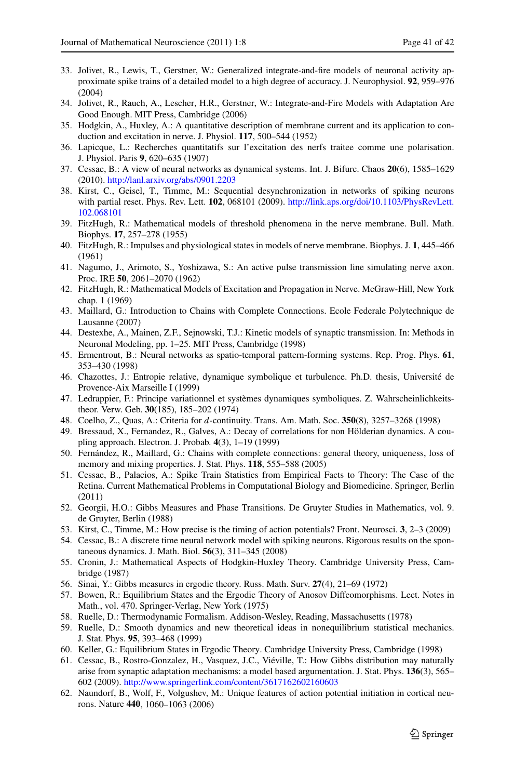- <span id="page-40-9"></span><span id="page-40-8"></span><span id="page-40-7"></span><span id="page-40-2"></span><span id="page-40-1"></span><span id="page-40-0"></span>33. Jolivet, R., Lewis, T., Gerstner, W.: Generalized integrate-and-fire models of neuronal activity approximate spike trains of a detailed model to a high degree of accuracy. J. Neurophysiol. **92**, 959–976 (2004)
- <span id="page-40-10"></span>34. Jolivet, R., Rauch, A., Lescher, H.R., Gerstner, W.: Integrate-and-Fire Models with Adaptation Are Good Enough. MIT Press, Cambridge (2006)
- 35. Hodgkin, A., Huxley, A.: A quantitative description of membrane current and its application to conduction and excitation in nerve. J. Physiol. **117**, 500–544 (1952)
- <span id="page-40-3"></span>36. Lapicque, L.: Recherches quantitatifs sur l'excitation des nerfs traitee comme une polarisation. J. Physiol. Paris **9**, 620–635 (1907)
- <span id="page-40-4"></span>37. Cessac, B.: A view of neural networks as dynamical systems. Int. J. Bifurc. Chaos **20**(6), 1585–1629 (2010). <http://lanl.arxiv.org/abs/0901.2203>
- <span id="page-40-12"></span><span id="page-40-11"></span>38. Kirst, C., Geisel, T., Timme, M.: Sequential desynchronization in networks of spiking neurons with partial reset. Phys. Rev. Lett. **102**, 068101 (2009). [http://link.aps.org/doi/10.1103/PhysRevLett.](http://link.aps.org/doi/10.1103/PhysRevLett.102.068101) [102.068101](http://link.aps.org/doi/10.1103/PhysRevLett.102.068101)
- <span id="page-40-13"></span>39. FitzHugh, R.: Mathematical models of threshold phenomena in the nerve membrane. Bull. Math. Biophys. **17**, 257–278 (1955)
- <span id="page-40-14"></span>40. FitzHugh, R.: Impulses and physiological states in models of nerve membrane. Biophys. J. **1**, 445–466 (1961)
- <span id="page-40-15"></span>41. Nagumo, J., Arimoto, S., Yoshizawa, S.: An active pulse transmission line simulating nerve axon. Proc. IRE **50**, 2061–2070 (1962)
- 42. FitzHugh, R.: Mathematical Models of Excitation and Propagation in Nerve. McGraw-Hill, New York chap. 1 (1969)
- 43. Maillard, G.: Introduction to Chains with Complete Connections. Ecole Federale Polytechnique de Lausanne (2007)
- <span id="page-40-16"></span>44. Destexhe, A., Mainen, Z.F., Sejnowski, T.J.: Kinetic models of synaptic transmission. In: Methods in Neuronal Modeling, pp. 1–25. MIT Press, Cambridge (1998)
- <span id="page-40-17"></span>45. Ermentrout, B.: Neural networks as spatio-temporal pattern-forming systems. Rep. Prog. Phys. **61**, 353–430 (1998)
- <span id="page-40-18"></span>46. Chazottes, J.: Entropie relative, dynamique symbolique et turbulence. Ph.D. thesis, Université de Provence-Aix Marseille I (1999)
- <span id="page-40-19"></span>47. Ledrappier, F.: Principe variationnel et systèmes dynamiques symboliques. Z. Wahrscheinlichkeitstheor. Verw. Geb. **30**(185), 185–202 (1974)
- 48. Coelho, Z., Quas, A.: Criteria for *d*-continuity. Trans. Am. Math. Soc. **350**(8), 3257–3268 (1998)
- <span id="page-40-21"></span><span id="page-40-20"></span>49. Bressaud, X., Fernandez, R., Galves, A.: Decay of correlations for non Hölderian dynamics. A coupling approach. Electron. J. Probab. **4**(3), 1–19 (1999)
- <span id="page-40-5"></span>50. Fernández, R., Maillard, G.: Chains with complete connections: general theory, uniqueness, loss of memory and mixing properties. J. Stat. Phys. **118**, 555–588 (2005)
- <span id="page-40-22"></span>51. Cessac, B., Palacios, A.: Spike Train Statistics from Empirical Facts to Theory: The Case of the Retina. Current Mathematical Problems in Computational Biology and Biomedicine. Springer, Berlin (2011)
- <span id="page-40-23"></span>52. Georgii, H.O.: Gibbs Measures and Phase Transitions. De Gruyter Studies in Mathematics, vol. 9. de Gruyter, Berlin (1988)
- <span id="page-40-24"></span>53. Kirst, C., Timme, M.: How precise is the timing of action potentials? Front. Neurosci. **3**, 2–3 (2009)
- <span id="page-40-25"></span>54. Cessac, B.: A discrete time neural network model with spiking neurons. Rigorous results on the spontaneous dynamics. J. Math. Biol. **56**(3), 311–345 (2008)
- <span id="page-40-26"></span>55. Cronin, J.: Mathematical Aspects of Hodgkin-Huxley Theory. Cambridge University Press, Cambridge (1987)
- <span id="page-40-6"></span>56. Sinai, Y.: Gibbs measures in ergodic theory. Russ. Math. Surv. **27**(4), 21–69 (1972)
- 57. Bowen, R.: Equilibrium States and the Ergodic Theory of Anosov Diffeomorphisms. Lect. Notes in Math., vol. 470. Springer-Verlag, New York (1975)
- 58. Ruelle, D.: Thermodynamic Formalism. Addison-Wesley, Reading, Massachusetts (1978)
- 59. Ruelle, D.: Smooth dynamics and new theoretical ideas in nonequilibrium statistical mechanics. J. Stat. Phys. **95**, 393–468 (1999)
- 60. Keller, G.: Equilibrium States in Ergodic Theory. Cambridge University Press, Cambridge (1998)
- 61. Cessac, B., Rostro-Gonzalez, H., Vasquez, J.C., Viéville, T.: How Gibbs distribution may naturally arise from synaptic adaptation mechanisms: a model based argumentation. J. Stat. Phys. **136**(3), 565– 602 (2009). <http://www.springerlink.com/content/3617162602160603>
- 62. Naundorf, B., Wolf, F., Volgushev, M.: Unique features of action potential initiation in cortical neurons. Nature **440**, 1060–1063 (2006)